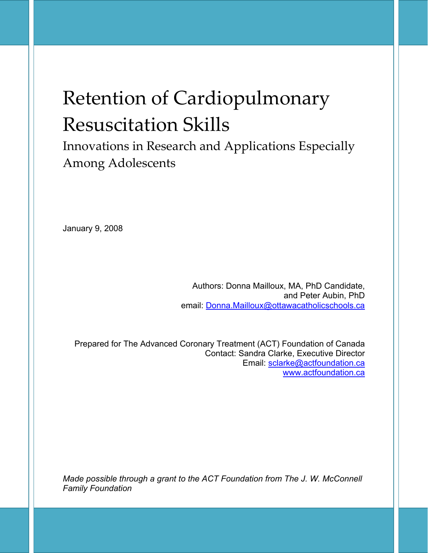# Retention of Cardiopulmonary Resuscitation Skills

Innovations in Research and Applications Especially Among Adolescents

January 9, 2008

Authors: Donna Mailloux, MA, PhD Candidate, and Peter Aubin, PhD email: Donna.Mailloux@ottawacatholicschools.ca

Prepared for The Advanced Coronary Treatment (ACT) Foundation of Canada Contact: Sandra Clarke, Executive Director Email: sclarke@actfoundation.ca www.actfoundation.ca

*Made possible through a grant to the ACT Foundation from The J. W. McConnell Family Foundation*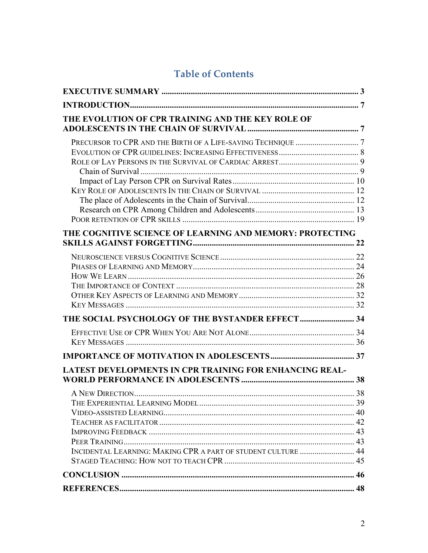# **Table of Contents**

| THE EVOLUTION OF CPR TRAINING AND THE KEY ROLE OF             |  |
|---------------------------------------------------------------|--|
|                                                               |  |
|                                                               |  |
|                                                               |  |
|                                                               |  |
| THE COGNITIVE SCIENCE OF LEARNING AND MEMORY: PROTECTING      |  |
|                                                               |  |
|                                                               |  |
|                                                               |  |
|                                                               |  |
|                                                               |  |
|                                                               |  |
|                                                               |  |
|                                                               |  |
|                                                               |  |
| LATEST DEVELOPMENTS IN CPR TRAINING FOR ENHANCING REAL-       |  |
|                                                               |  |
|                                                               |  |
|                                                               |  |
|                                                               |  |
|                                                               |  |
|                                                               |  |
| INCIDENTAL LEARNING: MAKING CPR A PART OF STUDENT CULTURE  44 |  |
|                                                               |  |
|                                                               |  |
|                                                               |  |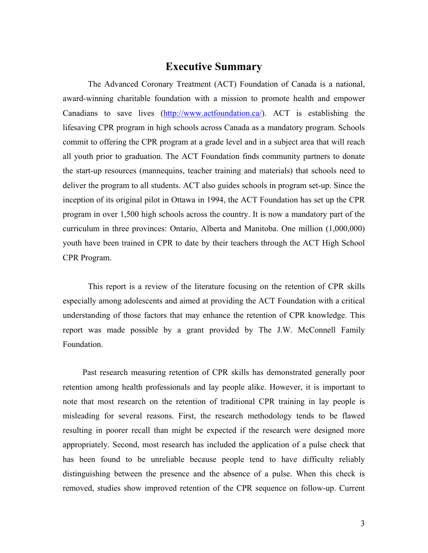### **Executive Summary**

The Advanced Coronary Treatment (ACT) Foundation of Canada is a national, award-winning charitable foundation with a mission to promote health and empower Canadians to save lives (http://www.actfoundation.ca/). ACT is establishing the lifesaving CPR program in high schools across Canada as a mandatory program. Schools commit to offering the CPR program at a grade level and in a subject area that will reach all youth prior to graduation. The ACT Foundation finds community partners to donate the start-up resources (mannequins, teacher training and materials) that schools need to deliver the program to all students. ACT also guides schools in program set-up. Since the inception of its original pilot in Ottawa in 1994, the ACT Foundation has set up the CPR program in over 1,500 high schools across the country. It is now a mandatory part of the curriculum in three provinces: Ontario, Alberta and Manitoba. One million (1,000,000) youth have been trained in CPR to date by their teachers through the ACT High School CPR Program.

This report is a review of the literature focusing on the retention of CPR skills especially among adolescents and aimed at providing the ACT Foundation with a critical understanding of those factors that may enhance the retention of CPR knowledge. This report was made possible by a grant provided by The J.W. McConnell Family Foundation.

Past research measuring retention of CPR skills has demonstrated generally poor retention among health professionals and lay people alike. However, it is important to note that most research on the retention of traditional CPR training in lay people is misleading for several reasons. First, the research methodology tends to be flawed resulting in poorer recall than might be expected if the research were designed more appropriately. Second, most research has included the application of a pulse check that has been found to be unreliable because people tend to have difficulty reliably distinguishing between the presence and the absence of a pulse. When this check is removed, studies show improved retention of the CPR sequence on follow-up. Current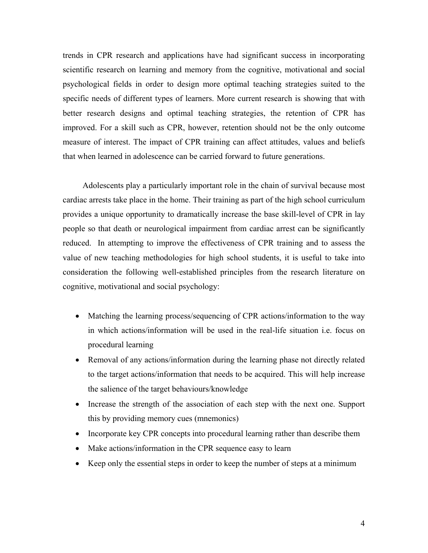trends in CPR research and applications have had significant success in incorporating scientific research on learning and memory from the cognitive, motivational and social psychological fields in order to design more optimal teaching strategies suited to the specific needs of different types of learners. More current research is showing that with better research designs and optimal teaching strategies, the retention of CPR has improved. For a skill such as CPR, however, retention should not be the only outcome measure of interest. The impact of CPR training can affect attitudes, values and beliefs that when learned in adolescence can be carried forward to future generations.

Adolescents play a particularly important role in the chain of survival because most cardiac arrests take place in the home. Their training as part of the high school curriculum provides a unique opportunity to dramatically increase the base skill-level of CPR in lay people so that death or neurological impairment from cardiac arrest can be significantly reduced. In attempting to improve the effectiveness of CPR training and to assess the value of new teaching methodologies for high school students, it is useful to take into consideration the following well-established principles from the research literature on cognitive, motivational and social psychology:

- Matching the learning process/sequencing of CPR actions/information to the way in which actions/information will be used in the real-life situation i.e. focus on procedural learning
- Removal of any actions/information during the learning phase not directly related to the target actions/information that needs to be acquired. This will help increase the salience of the target behaviours/knowledge
- Increase the strength of the association of each step with the next one. Support this by providing memory cues (mnemonics)
- Incorporate key CPR concepts into procedural learning rather than describe them
- Make actions/information in the CPR sequence easy to learn
- Keep only the essential steps in order to keep the number of steps at a minimum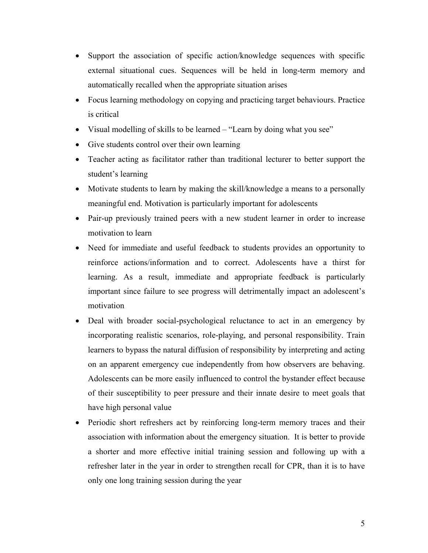- Support the association of specific action/knowledge sequences with specific external situational cues. Sequences will be held in long-term memory and automatically recalled when the appropriate situation arises
- Focus learning methodology on copying and practicing target behaviours. Practice is critical
- Visual modelling of skills to be learned "Learn by doing what you see"
- Give students control over their own learning
- Teacher acting as facilitator rather than traditional lecturer to better support the student's learning
- Motivate students to learn by making the skill/knowledge a means to a personally meaningful end. Motivation is particularly important for adolescents
- Pair-up previously trained peers with a new student learner in order to increase motivation to learn
- Need for immediate and useful feedback to students provides an opportunity to reinforce actions/information and to correct. Adolescents have a thirst for learning. As a result, immediate and appropriate feedback is particularly important since failure to see progress will detrimentally impact an adolescent's motivation
- Deal with broader social-psychological reluctance to act in an emergency by incorporating realistic scenarios, role-playing, and personal responsibility. Train learners to bypass the natural diffusion of responsibility by interpreting and acting on an apparent emergency cue independently from how observers are behaving. Adolescents can be more easily influenced to control the bystander effect because of their susceptibility to peer pressure and their innate desire to meet goals that have high personal value
- Periodic short refreshers act by reinforcing long-term memory traces and their association with information about the emergency situation. It is better to provide a shorter and more effective initial training session and following up with a refresher later in the year in order to strengthen recall for CPR, than it is to have only one long training session during the year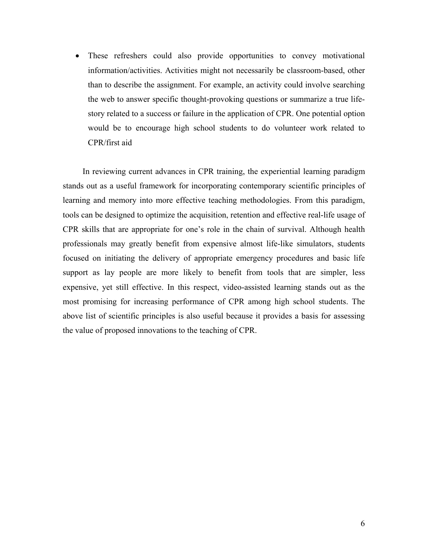• These refreshers could also provide opportunities to convey motivational information/activities. Activities might not necessarily be classroom-based, other than to describe the assignment. For example, an activity could involve searching the web to answer specific thought-provoking questions or summarize a true lifestory related to a success or failure in the application of CPR. One potential option would be to encourage high school students to do volunteer work related to CPR/first aid

In reviewing current advances in CPR training, the experiential learning paradigm stands out as a useful framework for incorporating contemporary scientific principles of learning and memory into more effective teaching methodologies. From this paradigm, tools can be designed to optimize the acquisition, retention and effective real-life usage of CPR skills that are appropriate for one's role in the chain of survival. Although health professionals may greatly benefit from expensive almost life-like simulators, students focused on initiating the delivery of appropriate emergency procedures and basic life support as lay people are more likely to benefit from tools that are simpler, less expensive, yet still effective. In this respect, video-assisted learning stands out as the most promising for increasing performance of CPR among high school students. The above list of scientific principles is also useful because it provides a basis for assessing the value of proposed innovations to the teaching of CPR.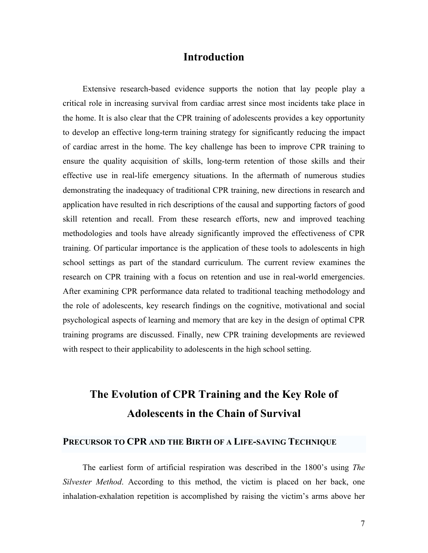### **Introduction**

Extensive research-based evidence supports the notion that lay people play a critical role in increasing survival from cardiac arrest since most incidents take place in the home. It is also clear that the CPR training of adolescents provides a key opportunity to develop an effective long-term training strategy for significantly reducing the impact of cardiac arrest in the home. The key challenge has been to improve CPR training to ensure the quality acquisition of skills, long-term retention of those skills and their effective use in real-life emergency situations. In the aftermath of numerous studies demonstrating the inadequacy of traditional CPR training, new directions in research and application have resulted in rich descriptions of the causal and supporting factors of good skill retention and recall. From these research efforts, new and improved teaching methodologies and tools have already significantly improved the effectiveness of CPR training. Of particular importance is the application of these tools to adolescents in high school settings as part of the standard curriculum. The current review examines the research on CPR training with a focus on retention and use in real-world emergencies. After examining CPR performance data related to traditional teaching methodology and the role of adolescents, key research findings on the cognitive, motivational and social psychological aspects of learning and memory that are key in the design of optimal CPR training programs are discussed. Finally, new CPR training developments are reviewed with respect to their applicability to adolescents in the high school setting.

# **The Evolution of CPR Training and the Key Role of Adolescents in the Chain of Survival**

#### **PRECURSOR TO CPR AND THE BIRTH OF A LIFE-SAVING TECHNIQUE**

The earliest form of artificial respiration was described in the 1800's using *The Silvester Method*. According to this method, the victim is placed on her back, one inhalation-exhalation repetition is accomplished by raising the victim's arms above her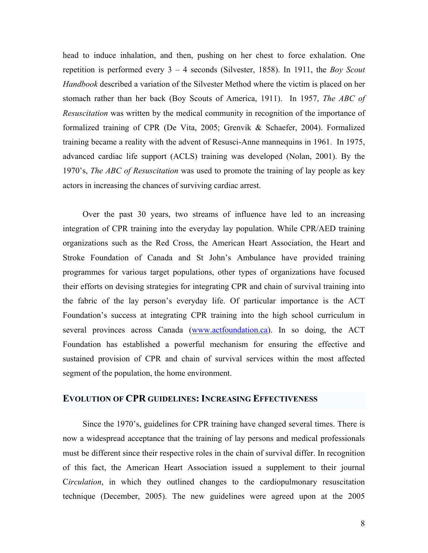head to induce inhalation, and then, pushing on her chest to force exhalation. One repetition is performed every 3 – 4 seconds (Silvester, 1858). In 1911, the *Boy Scout Handbook* described a variation of the Silvester Method where the victim is placed on her stomach rather than her back (Boy Scouts of America, 1911). In 1957, *The ABC of Resuscitation* was written by the medical community in recognition of the importance of formalized training of CPR (De Vita, 2005; Grenvik & Schaefer, 2004). Formalized training became a reality with the advent of Resusci-Anne mannequins in 1961. In 1975, advanced cardiac life support (ACLS) training was developed (Nolan, 2001). By the 1970's, *The ABC of Resuscitation* was used to promote the training of lay people as key actors in increasing the chances of surviving cardiac arrest.

Over the past 30 years, two streams of influence have led to an increasing integration of CPR training into the everyday lay population. While CPR/AED training organizations such as the Red Cross, the American Heart Association, the Heart and Stroke Foundation of Canada and St John's Ambulance have provided training programmes for various target populations, other types of organizations have focused their efforts on devising strategies for integrating CPR and chain of survival training into the fabric of the lay person's everyday life. Of particular importance is the ACT Foundation's success at integrating CPR training into the high school curriculum in several provinces across Canada (www.actfoundation.ca). In so doing, the ACT Foundation has established a powerful mechanism for ensuring the effective and sustained provision of CPR and chain of survival services within the most affected segment of the population, the home environment.

#### **EVOLUTION OF CPR GUIDELINES: INCREASING EFFECTIVENESS**

Since the 1970's, guidelines for CPR training have changed several times. There is now a widespread acceptance that the training of lay persons and medical professionals must be different since their respective roles in the chain of survival differ. In recognition of this fact, the American Heart Association issued a supplement to their journal C*irculation*, in which they outlined changes to the cardiopulmonary resuscitation technique (December, 2005). The new guidelines were agreed upon at the 2005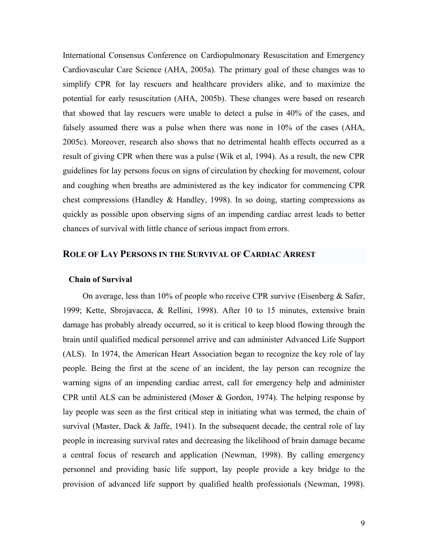International Consensus Conference on Cardiopulmonary Resuscitation and Emergency Cardiovascular Care Science (AHA, 2005a). The primary goal of these changes was to simplify CPR for lay rescuers and healthcare providers alike, and to maximize the potential for early resuscitation (AHA, 2005b). These changes were based on research that showed that lay rescuers were unable to detect a pulse in 40% of the cases, and falsely assumed there was a pulse when there was none in 10% of the cases (AHA, 2005c). Moreover, research also shows that no detrimental health effects occurred as a result of giving CPR when there was a pulse (Wik et al, 1994). As a result, the new CPR guidelines for lay persons focus on signs of circulation by checking for movement, colour and coughing when breaths are administered as the key indicator for commencing CPR chest compressions (Handley & Handley, 1998). In so doing, starting compressions as quickly as possible upon observing signs of an impending cardiac arrest leads to better chances of survival with little chance of serious impact from errors.

#### **ROLE OF LAY PERSONS IN THE SURVIVAL OF CARDIAC ARREST**

#### **Chain of Survival**

On average, less than 10% of people who receive CPR survive (Eisenberg & Safer, 1999; Kette, Sbrojavacca, & Rellini, 1998). After 10 to 15 minutes, extensive brain damage has probably already occurred, so it is critical to keep blood flowing through the brain until qualified medical personnel arrive and can administer Advanced Life Support (ALS). In 1974, the American Heart Association began to recognize the key role of lay people. Being the first at the scene of an incident, the lay person can recognize the warning signs of an impending cardiac arrest, call for emergency help and administer CPR until ALS can be administered (Moser & Gordon, 1974). The helping response by lay people was seen as the first critical step in initiating what was termed, the chain of survival (Master, Dack & Jaffe, 1941). In the subsequent decade, the central role of lay people in increasing survival rates and decreasing the likelihood of brain damage became a central focus of research and application (Newman, 1998). By calling emergency personnel and providing basic life support, lay people provide a key bridge to the provision of advanced life support by qualified health professionals (Newman, 1998).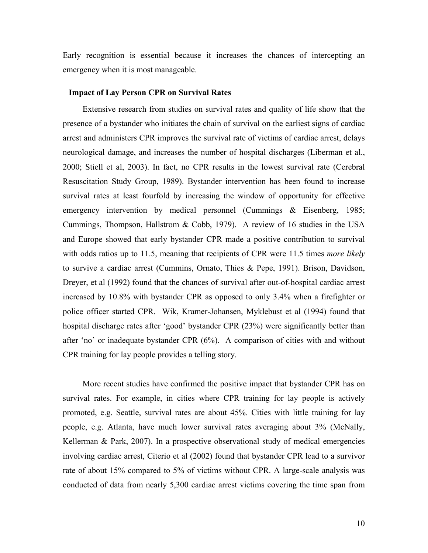Early recognition is essential because it increases the chances of intercepting an emergency when it is most manageable.

#### **Impact of Lay Person CPR on Survival Rates**

Extensive research from studies on survival rates and quality of life show that the presence of a bystander who initiates the chain of survival on the earliest signs of cardiac arrest and administers CPR improves the survival rate of victims of cardiac arrest, delays neurological damage, and increases the number of hospital discharges (Liberman et al., 2000; Stiell et al, 2003). In fact, no CPR results in the lowest survival rate (Cerebral Resuscitation Study Group, 1989). Bystander intervention has been found to increase survival rates at least fourfold by increasing the window of opportunity for effective emergency intervention by medical personnel (Cummings & Eisenberg, 1985; Cummings, Thompson, Hallstrom & Cobb, 1979). A review of 16 studies in the USA and Europe showed that early bystander CPR made a positive contribution to survival with odds ratios up to 11.5, meaning that recipients of CPR were 11.5 times *more likely* to survive a cardiac arrest (Cummins, Ornato, Thies & Pepe, 1991). Brison, Davidson, Dreyer, et al (1992) found that the chances of survival after out-of-hospital cardiac arrest increased by 10.8% with bystander CPR as opposed to only 3.4% when a firefighter or police officer started CPR. Wik, Kramer-Johansen, Myklebust et al (1994) found that hospital discharge rates after 'good' bystander CPR (23%) were significantly better than after 'no' or inadequate bystander CPR (6%). A comparison of cities with and without CPR training for lay people provides a telling story.

More recent studies have confirmed the positive impact that bystander CPR has on survival rates. For example, in cities where CPR training for lay people is actively promoted, e.g. Seattle, survival rates are about 45%. Cities with little training for lay people, e.g. Atlanta, have much lower survival rates averaging about 3% (McNally, Kellerman & Park, 2007). In a prospective observational study of medical emergencies involving cardiac arrest, Citerio et al (2002) found that bystander CPR lead to a survivor rate of about 15% compared to 5% of victims without CPR. A large-scale analysis was conducted of data from nearly 5,300 cardiac arrest victims covering the time span from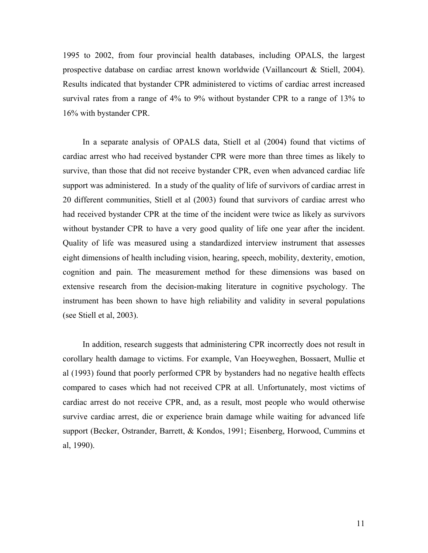1995 to 2002, from four provincial health databases, including OPALS, the largest prospective database on cardiac arrest known worldwide (Vaillancourt & Stiell, 2004). Results indicated that bystander CPR administered to victims of cardiac arrest increased survival rates from a range of 4% to 9% without bystander CPR to a range of 13% to 16% with bystander CPR.

In a separate analysis of OPALS data, Stiell et al (2004) found that victims of cardiac arrest who had received bystander CPR were more than three times as likely to survive, than those that did not receive bystander CPR, even when advanced cardiac life support was administered. In a study of the quality of life of survivors of cardiac arrest in 20 different communities, Stiell et al (2003) found that survivors of cardiac arrest who had received bystander CPR at the time of the incident were twice as likely as survivors without bystander CPR to have a very good quality of life one year after the incident. Quality of life was measured using a standardized interview instrument that assesses eight dimensions of health including vision, hearing, speech, mobility, dexterity, emotion, cognition and pain. The measurement method for these dimensions was based on extensive research from the decision-making literature in cognitive psychology. The instrument has been shown to have high reliability and validity in several populations (see Stiell et al, 2003).

In addition, research suggests that administering CPR incorrectly does not result in corollary health damage to victims. For example, Van Hoeyweghen, Bossaert, Mullie et al (1993) found that poorly performed CPR by bystanders had no negative health effects compared to cases which had not received CPR at all. Unfortunately, most victims of cardiac arrest do not receive CPR, and, as a result, most people who would otherwise survive cardiac arrest, die or experience brain damage while waiting for advanced life support (Becker, Ostrander, Barrett, & Kondos, 1991; Eisenberg, Horwood, Cummins et al, 1990).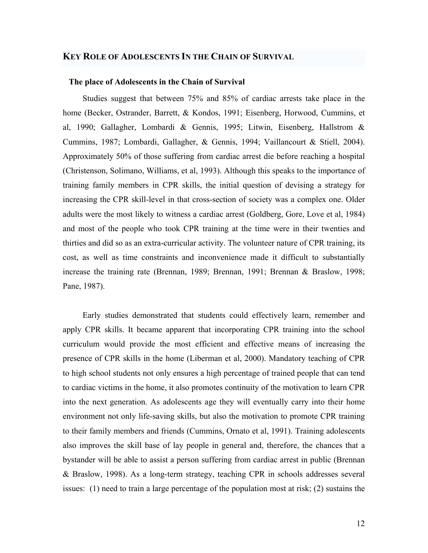#### **KEY ROLE OF ADOLESCENTS IN THE CHAIN OF SURVIVAL**

#### **The place of Adolescents in the Chain of Survival**

Studies suggest that between 75% and 85% of cardiac arrests take place in the home (Becker, Ostrander, Barrett, & Kondos, 1991; Eisenberg, Horwood, Cummins, et al, 1990; Gallagher, Lombardi & Gennis, 1995; Litwin, Eisenberg, Hallstrom & Cummins, 1987; Lombardi, Gallagher, & Gennis, 1994; Vaillancourt & Stiell, 2004). Approximately 50% of those suffering from cardiac arrest die before reaching a hospital (Christenson, Solimano, Williams, et al, 1993). Although this speaks to the importance of training family members in CPR skills, the initial question of devising a strategy for increasing the CPR skill-level in that cross-section of society was a complex one. Older adults were the most likely to witness a cardiac arrest (Goldberg, Gore, Love et al, 1984) and most of the people who took CPR training at the time were in their twenties and thirties and did so as an extra-curricular activity. The volunteer nature of CPR training, its cost, as well as time constraints and inconvenience made it difficult to substantially increase the training rate (Brennan, 1989; Brennan, 1991; Brennan & Braslow, 1998; Pane, 1987).

Early studies demonstrated that students could effectively learn, remember and apply CPR skills. It became apparent that incorporating CPR training into the school curriculum would provide the most efficient and effective means of increasing the presence of CPR skills in the home (Liberman et al, 2000). Mandatory teaching of CPR to high school students not only ensures a high percentage of trained people that can tend to cardiac victims in the home, it also promotes continuity of the motivation to learn CPR into the next generation. As adolescents age they will eventually carry into their home environment not only life-saving skills, but also the motivation to promote CPR training to their family members and friends (Cummins, Ornato et al, 1991). Training adolescents also improves the skill base of lay people in general and, therefore, the chances that a bystander will be able to assist a person suffering from cardiac arrest in public (Brennan & Braslow, 1998). As a long-term strategy, teaching CPR in schools addresses several issues: (1) need to train a large percentage of the population most at risk; (2) sustains the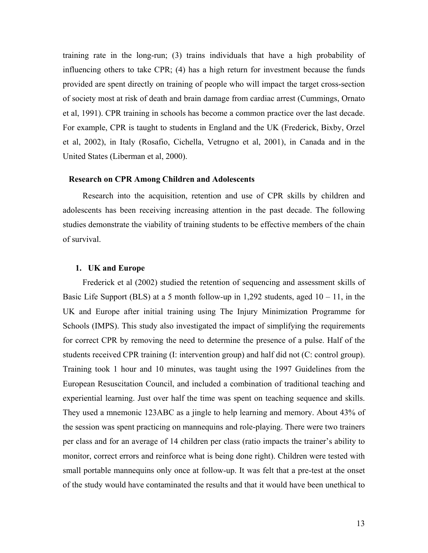training rate in the long-run; (3) trains individuals that have a high probability of influencing others to take CPR; (4) has a high return for investment because the funds provided are spent directly on training of people who will impact the target cross-section of society most at risk of death and brain damage from cardiac arrest (Cummings, Ornato et al, 1991). CPR training in schools has become a common practice over the last decade. For example, CPR is taught to students in England and the UK (Frederick, Bixby, Orzel et al, 2002), in Italy (Rosafio, Cichella, Vetrugno et al, 2001), in Canada and in the United States (Liberman et al, 2000).

#### **Research on CPR Among Children and Adolescents**

Research into the acquisition, retention and use of CPR skills by children and adolescents has been receiving increasing attention in the past decade. The following studies demonstrate the viability of training students to be effective members of the chain of survival.

#### **1. UK and Europe**

Frederick et al (2002) studied the retention of sequencing and assessment skills of Basic Life Support (BLS) at a 5 month follow-up in 1,292 students, aged  $10 - 11$ , in the UK and Europe after initial training using The Injury Minimization Programme for Schools (IMPS). This study also investigated the impact of simplifying the requirements for correct CPR by removing the need to determine the presence of a pulse. Half of the students received CPR training (I: intervention group) and half did not (C: control group). Training took 1 hour and 10 minutes, was taught using the 1997 Guidelines from the European Resuscitation Council, and included a combination of traditional teaching and experiential learning. Just over half the time was spent on teaching sequence and skills. They used a mnemonic 123ABC as a jingle to help learning and memory. About 43% of the session was spent practicing on mannequins and role-playing. There were two trainers per class and for an average of 14 children per class (ratio impacts the trainer's ability to monitor, correct errors and reinforce what is being done right). Children were tested with small portable mannequins only once at follow-up. It was felt that a pre-test at the onset of the study would have contaminated the results and that it would have been unethical to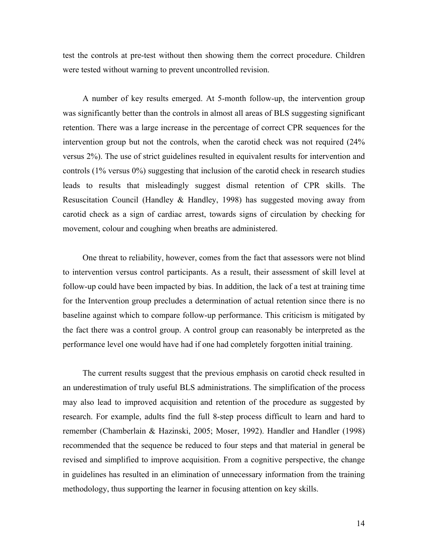test the controls at pre-test without then showing them the correct procedure. Children were tested without warning to prevent uncontrolled revision.

A number of key results emerged. At 5-month follow-up, the intervention group was significantly better than the controls in almost all areas of BLS suggesting significant retention. There was a large increase in the percentage of correct CPR sequences for the intervention group but not the controls, when the carotid check was not required (24% versus 2%). The use of strict guidelines resulted in equivalent results for intervention and controls (1% versus 0%) suggesting that inclusion of the carotid check in research studies leads to results that misleadingly suggest dismal retention of CPR skills. The Resuscitation Council (Handley & Handley, 1998) has suggested moving away from carotid check as a sign of cardiac arrest, towards signs of circulation by checking for movement, colour and coughing when breaths are administered.

One threat to reliability, however, comes from the fact that assessors were not blind to intervention versus control participants. As a result, their assessment of skill level at follow-up could have been impacted by bias. In addition, the lack of a test at training time for the Intervention group precludes a determination of actual retention since there is no baseline against which to compare follow-up performance. This criticism is mitigated by the fact there was a control group. A control group can reasonably be interpreted as the performance level one would have had if one had completely forgotten initial training.

The current results suggest that the previous emphasis on carotid check resulted in an underestimation of truly useful BLS administrations. The simplification of the process may also lead to improved acquisition and retention of the procedure as suggested by research. For example, adults find the full 8-step process difficult to learn and hard to remember (Chamberlain & Hazinski, 2005; Moser, 1992). Handler and Handler (1998) recommended that the sequence be reduced to four steps and that material in general be revised and simplified to improve acquisition. From a cognitive perspective, the change in guidelines has resulted in an elimination of unnecessary information from the training methodology, thus supporting the learner in focusing attention on key skills.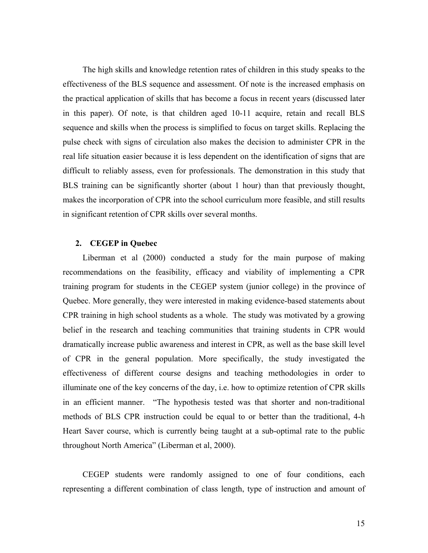The high skills and knowledge retention rates of children in this study speaks to the effectiveness of the BLS sequence and assessment. Of note is the increased emphasis on the practical application of skills that has become a focus in recent years (discussed later in this paper). Of note, is that children aged 10-11 acquire, retain and recall BLS sequence and skills when the process is simplified to focus on target skills. Replacing the pulse check with signs of circulation also makes the decision to administer CPR in the real life situation easier because it is less dependent on the identification of signs that are difficult to reliably assess, even for professionals. The demonstration in this study that BLS training can be significantly shorter (about 1 hour) than that previously thought, makes the incorporation of CPR into the school curriculum more feasible, and still results in significant retention of CPR skills over several months.

#### **2. CEGEP in Quebec**

Liberman et al (2000) conducted a study for the main purpose of making recommendations on the feasibility, efficacy and viability of implementing a CPR training program for students in the CEGEP system (junior college) in the province of Quebec. More generally, they were interested in making evidence-based statements about CPR training in high school students as a whole. The study was motivated by a growing belief in the research and teaching communities that training students in CPR would dramatically increase public awareness and interest in CPR, as well as the base skill level of CPR in the general population. More specifically, the study investigated the effectiveness of different course designs and teaching methodologies in order to illuminate one of the key concerns of the day, i.e. how to optimize retention of CPR skills in an efficient manner. "The hypothesis tested was that shorter and non-traditional methods of BLS CPR instruction could be equal to or better than the traditional, 4-h Heart Saver course, which is currently being taught at a sub-optimal rate to the public throughout North America" (Liberman et al, 2000).

CEGEP students were randomly assigned to one of four conditions, each representing a different combination of class length, type of instruction and amount of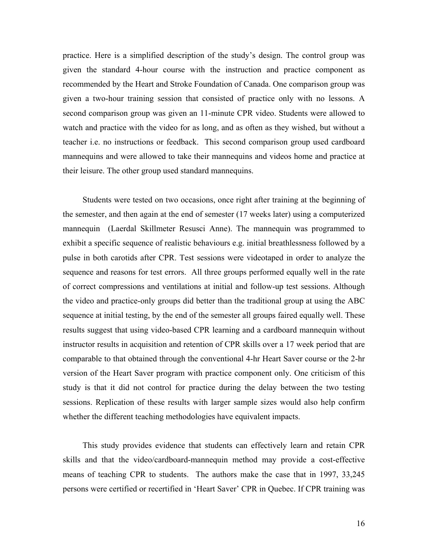practice. Here is a simplified description of the study's design. The control group was given the standard 4-hour course with the instruction and practice component as recommended by the Heart and Stroke Foundation of Canada. One comparison group was given a two-hour training session that consisted of practice only with no lessons. A second comparison group was given an 11-minute CPR video. Students were allowed to watch and practice with the video for as long, and as often as they wished, but without a teacher i.e. no instructions or feedback. This second comparison group used cardboard mannequins and were allowed to take their mannequins and videos home and practice at their leisure. The other group used standard mannequins.

Students were tested on two occasions, once right after training at the beginning of the semester, and then again at the end of semester (17 weeks later) using a computerized mannequin (Laerdal Skillmeter Resusci Anne). The mannequin was programmed to exhibit a specific sequence of realistic behaviours e.g. initial breathlessness followed by a pulse in both carotids after CPR. Test sessions were videotaped in order to analyze the sequence and reasons for test errors. All three groups performed equally well in the rate of correct compressions and ventilations at initial and follow-up test sessions. Although the video and practice-only groups did better than the traditional group at using the ABC sequence at initial testing, by the end of the semester all groups faired equally well. These results suggest that using video-based CPR learning and a cardboard mannequin without instructor results in acquisition and retention of CPR skills over a 17 week period that are comparable to that obtained through the conventional 4-hr Heart Saver course or the 2-hr version of the Heart Saver program with practice component only. One criticism of this study is that it did not control for practice during the delay between the two testing sessions. Replication of these results with larger sample sizes would also help confirm whether the different teaching methodologies have equivalent impacts.

This study provides evidence that students can effectively learn and retain CPR skills and that the video/cardboard-mannequin method may provide a cost-effective means of teaching CPR to students. The authors make the case that in 1997, 33,245 persons were certified or recertified in 'Heart Saver' CPR in Quebec. If CPR training was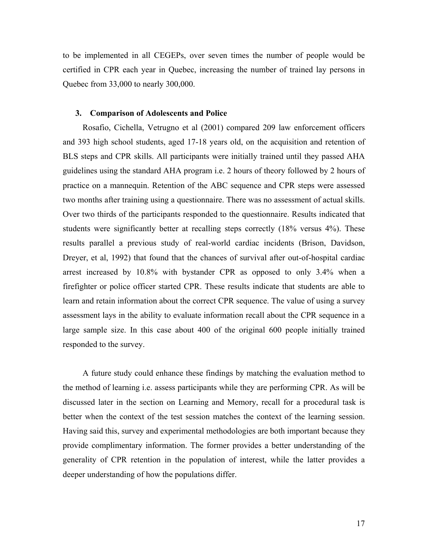to be implemented in all CEGEPs, over seven times the number of people would be certified in CPR each year in Quebec, increasing the number of trained lay persons in Quebec from 33,000 to nearly 300,000.

#### **3. Comparison of Adolescents and Police**

Rosafio, Cichella, Vetrugno et al (2001) compared 209 law enforcement officers and 393 high school students, aged 17-18 years old, on the acquisition and retention of BLS steps and CPR skills. All participants were initially trained until they passed AHA guidelines using the standard AHA program i.e. 2 hours of theory followed by 2 hours of practice on a mannequin. Retention of the ABC sequence and CPR steps were assessed two months after training using a questionnaire. There was no assessment of actual skills. Over two thirds of the participants responded to the questionnaire. Results indicated that students were significantly better at recalling steps correctly (18% versus 4%). These results parallel a previous study of real-world cardiac incidents (Brison, Davidson, Dreyer, et al, 1992) that found that the chances of survival after out-of-hospital cardiac arrest increased by 10.8% with bystander CPR as opposed to only 3.4% when a firefighter or police officer started CPR. These results indicate that students are able to learn and retain information about the correct CPR sequence. The value of using a survey assessment lays in the ability to evaluate information recall about the CPR sequence in a large sample size. In this case about 400 of the original 600 people initially trained responded to the survey.

A future study could enhance these findings by matching the evaluation method to the method of learning i.e. assess participants while they are performing CPR. As will be discussed later in the section on Learning and Memory, recall for a procedural task is better when the context of the test session matches the context of the learning session. Having said this, survey and experimental methodologies are both important because they provide complimentary information. The former provides a better understanding of the generality of CPR retention in the population of interest, while the latter provides a deeper understanding of how the populations differ.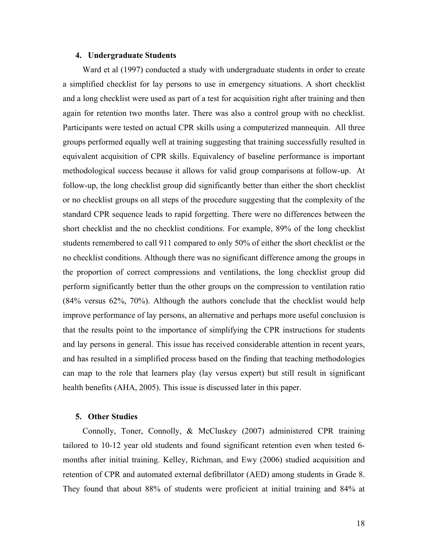#### **4. Undergraduate Students**

Ward et al (1997) conducted a study with undergraduate students in order to create a simplified checklist for lay persons to use in emergency situations. A short checklist and a long checklist were used as part of a test for acquisition right after training and then again for retention two months later. There was also a control group with no checklist. Participants were tested on actual CPR skills using a computerized mannequin. All three groups performed equally well at training suggesting that training successfully resulted in equivalent acquisition of CPR skills. Equivalency of baseline performance is important methodological success because it allows for valid group comparisons at follow-up. At follow-up, the long checklist group did significantly better than either the short checklist or no checklist groups on all steps of the procedure suggesting that the complexity of the standard CPR sequence leads to rapid forgetting. There were no differences between the short checklist and the no checklist conditions. For example, 89% of the long checklist students remembered to call 911 compared to only 50% of either the short checklist or the no checklist conditions. Although there was no significant difference among the groups in the proportion of correct compressions and ventilations, the long checklist group did perform significantly better than the other groups on the compression to ventilation ratio (84% versus 62%, 70%). Although the authors conclude that the checklist would help improve performance of lay persons, an alternative and perhaps more useful conclusion is that the results point to the importance of simplifying the CPR instructions for students and lay persons in general. This issue has received considerable attention in recent years, and has resulted in a simplified process based on the finding that teaching methodologies can map to the role that learners play (lay versus expert) but still result in significant health benefits (AHA, 2005). This issue is discussed later in this paper.

#### **5. Other Studies**

Connolly, Toner, Connolly, & McCluskey (2007) administered CPR training tailored to 10-12 year old students and found significant retention even when tested 6 months after initial training. Kelley, Richman, and Ewy (2006) studied acquisition and retention of CPR and automated external defibrillator (AED) among students in Grade 8. They found that about 88% of students were proficient at initial training and 84% at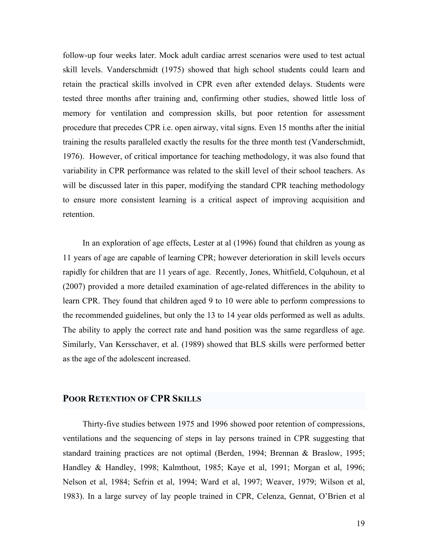follow-up four weeks later. Mock adult cardiac arrest scenarios were used to test actual skill levels. Vanderschmidt (1975) showed that high school students could learn and retain the practical skills involved in CPR even after extended delays. Students were tested three months after training and, confirming other studies, showed little loss of memory for ventilation and compression skills, but poor retention for assessment procedure that precedes CPR i.e. open airway, vital signs. Even 15 months after the initial training the results paralleled exactly the results for the three month test (Vanderschmidt, 1976). However, of critical importance for teaching methodology, it was also found that variability in CPR performance was related to the skill level of their school teachers. As will be discussed later in this paper, modifying the standard CPR teaching methodology to ensure more consistent learning is a critical aspect of improving acquisition and retention.

In an exploration of age effects, Lester at al (1996) found that children as young as 11 years of age are capable of learning CPR; however deterioration in skill levels occurs rapidly for children that are 11 years of age. Recently, Jones, Whitfield, Colquhoun, et al (2007) provided a more detailed examination of age-related differences in the ability to learn CPR. They found that children aged 9 to 10 were able to perform compressions to the recommended guidelines, but only the 13 to 14 year olds performed as well as adults. The ability to apply the correct rate and hand position was the same regardless of age. Similarly, Van Kersschaver, et al. (1989) showed that BLS skills were performed better as the age of the adolescent increased.

#### **POOR RETENTION OF CPR SKILLS**

Thirty-five studies between 1975 and 1996 showed poor retention of compressions, ventilations and the sequencing of steps in lay persons trained in CPR suggesting that standard training practices are not optimal (Berden, 1994; Brennan & Braslow, 1995; Handley & Handley, 1998; Kalmthout, 1985; Kaye et al, 1991; Morgan et al, 1996; Nelson et al, 1984; Sefrin et al, 1994; Ward et al, 1997; Weaver, 1979; Wilson et al, 1983). In a large survey of lay people trained in CPR, Celenza, Gennat, O'Brien et al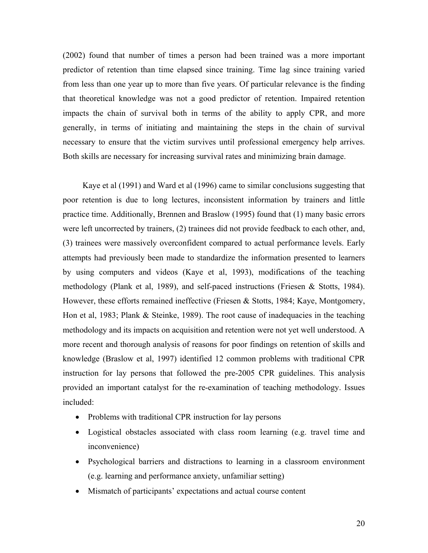(2002) found that number of times a person had been trained was a more important predictor of retention than time elapsed since training. Time lag since training varied from less than one year up to more than five years. Of particular relevance is the finding that theoretical knowledge was not a good predictor of retention. Impaired retention impacts the chain of survival both in terms of the ability to apply CPR, and more generally, in terms of initiating and maintaining the steps in the chain of survival necessary to ensure that the victim survives until professional emergency help arrives. Both skills are necessary for increasing survival rates and minimizing brain damage.

Kaye et al (1991) and Ward et al (1996) came to similar conclusions suggesting that poor retention is due to long lectures, inconsistent information by trainers and little practice time. Additionally, Brennen and Braslow (1995) found that (1) many basic errors were left uncorrected by trainers, (2) trainees did not provide feedback to each other, and, (3) trainees were massively overconfident compared to actual performance levels. Early attempts had previously been made to standardize the information presented to learners by using computers and videos (Kaye et al, 1993), modifications of the teaching methodology (Plank et al, 1989), and self-paced instructions (Friesen & Stotts, 1984). However, these efforts remained ineffective (Friesen & Stotts, 1984; Kaye, Montgomery, Hon et al, 1983; Plank & Steinke, 1989). The root cause of inadequacies in the teaching methodology and its impacts on acquisition and retention were not yet well understood. A more recent and thorough analysis of reasons for poor findings on retention of skills and knowledge (Braslow et al, 1997) identified 12 common problems with traditional CPR instruction for lay persons that followed the pre-2005 CPR guidelines. This analysis provided an important catalyst for the re-examination of teaching methodology. Issues included:

- Problems with traditional CPR instruction for lay persons
- Logistical obstacles associated with class room learning (e.g. travel time and inconvenience)
- Psychological barriers and distractions to learning in a classroom environment (e.g. learning and performance anxiety, unfamiliar setting)
- Mismatch of participants' expectations and actual course content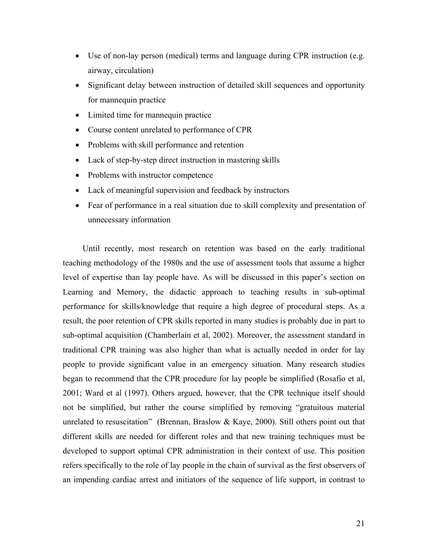- Use of non-lay person (medical) terms and language during CPR instruction (e.g. airway, circulation)
- Significant delay between instruction of detailed skill sequences and opportunity for mannequin practice
- Limited time for mannequin practice
- Course content unrelated to performance of CPR
- Problems with skill performance and retention
- Lack of step-by-step direct instruction in mastering skills
- Problems with instructor competence
- Lack of meaningful supervision and feedback by instructors
- Fear of performance in a real situation due to skill complexity and presentation of unnecessary information

Until recently, most research on retention was based on the early traditional teaching methodology of the 1980s and the use of assessment tools that assume a higher level of expertise than lay people have. As will be discussed in this paper's section on Learning and Memory, the didactic approach to teaching results in sub-optimal performance for skills/knowledge that require a high degree of procedural steps. As a result, the poor retention of CPR skills reported in many studies is probably due in part to sub-optimal acquisition (Chamberlain et al, 2002). Moreover, the assessment standard in traditional CPR training was also higher than what is actually needed in order for lay people to provide significant value in an emergency situation. Many research studies began to recommend that the CPR procedure for lay people be simplified (Rosafio et al, 2001; Ward et al (1997). Others argued, however, that the CPR technique itself should not be simplified, but rather the course simplified by removing "gratuitous material unrelated to resuscitation" (Brennan, Braslow  $&$  Kaye, 2000). Still others point out that different skills are needed for different roles and that new training techniques must be developed to support optimal CPR administration in their context of use. This position refers specifically to the role of lay people in the chain of survival as the first observers of an impending cardiac arrest and initiators of the sequence of life support, in contrast to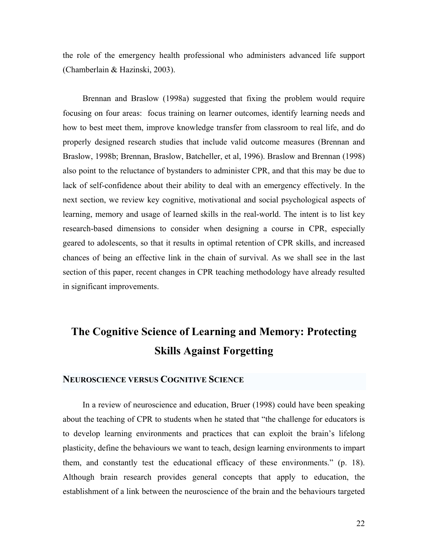the role of the emergency health professional who administers advanced life support (Chamberlain & Hazinski, 2003).

Brennan and Braslow (1998a) suggested that fixing the problem would require focusing on four areas: focus training on learner outcomes, identify learning needs and how to best meet them, improve knowledge transfer from classroom to real life, and do properly designed research studies that include valid outcome measures (Brennan and Braslow, 1998b; Brennan, Braslow, Batcheller, et al, 1996). Braslow and Brennan (1998) also point to the reluctance of bystanders to administer CPR, and that this may be due to lack of self-confidence about their ability to deal with an emergency effectively. In the next section, we review key cognitive, motivational and social psychological aspects of learning, memory and usage of learned skills in the real-world. The intent is to list key research-based dimensions to consider when designing a course in CPR, especially geared to adolescents, so that it results in optimal retention of CPR skills, and increased chances of being an effective link in the chain of survival. As we shall see in the last section of this paper, recent changes in CPR teaching methodology have already resulted in significant improvements.

# **The Cognitive Science of Learning and Memory: Protecting Skills Against Forgetting**

#### **NEUROSCIENCE VERSUS COGNITIVE SCIENCE**

In a review of neuroscience and education, Bruer (1998) could have been speaking about the teaching of CPR to students when he stated that "the challenge for educators is to develop learning environments and practices that can exploit the brain's lifelong plasticity, define the behaviours we want to teach, design learning environments to impart them, and constantly test the educational efficacy of these environments." (p. 18). Although brain research provides general concepts that apply to education, the establishment of a link between the neuroscience of the brain and the behaviours targeted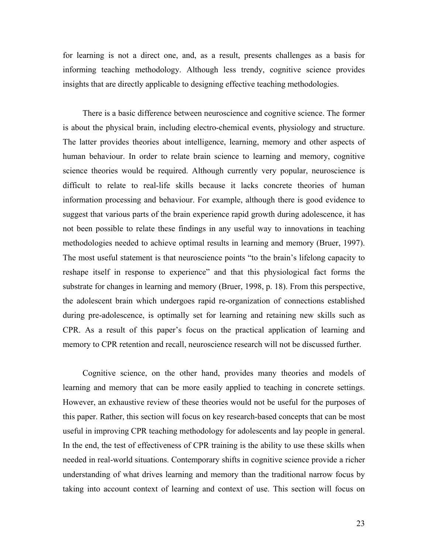for learning is not a direct one, and, as a result, presents challenges as a basis for informing teaching methodology. Although less trendy, cognitive science provides insights that are directly applicable to designing effective teaching methodologies.

There is a basic difference between neuroscience and cognitive science. The former is about the physical brain, including electro-chemical events, physiology and structure. The latter provides theories about intelligence, learning, memory and other aspects of human behaviour. In order to relate brain science to learning and memory, cognitive science theories would be required. Although currently very popular, neuroscience is difficult to relate to real-life skills because it lacks concrete theories of human information processing and behaviour. For example, although there is good evidence to suggest that various parts of the brain experience rapid growth during adolescence, it has not been possible to relate these findings in any useful way to innovations in teaching methodologies needed to achieve optimal results in learning and memory (Bruer, 1997). The most useful statement is that neuroscience points "to the brain's lifelong capacity to reshape itself in response to experience" and that this physiological fact forms the substrate for changes in learning and memory (Bruer, 1998, p. 18). From this perspective, the adolescent brain which undergoes rapid re-organization of connections established during pre-adolescence, is optimally set for learning and retaining new skills such as CPR. As a result of this paper's focus on the practical application of learning and memory to CPR retention and recall, neuroscience research will not be discussed further.

Cognitive science, on the other hand, provides many theories and models of learning and memory that can be more easily applied to teaching in concrete settings. However, an exhaustive review of these theories would not be useful for the purposes of this paper. Rather, this section will focus on key research-based concepts that can be most useful in improving CPR teaching methodology for adolescents and lay people in general. In the end, the test of effectiveness of CPR training is the ability to use these skills when needed in real-world situations. Contemporary shifts in cognitive science provide a richer understanding of what drives learning and memory than the traditional narrow focus by taking into account context of learning and context of use. This section will focus on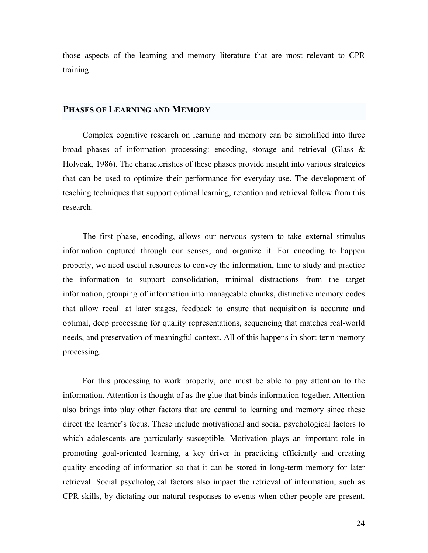those aspects of the learning and memory literature that are most relevant to CPR training.

#### **PHASES OF LEARNING AND MEMORY**

Complex cognitive research on learning and memory can be simplified into three broad phases of information processing: encoding, storage and retrieval (Glass & Holyoak, 1986). The characteristics of these phases provide insight into various strategies that can be used to optimize their performance for everyday use. The development of teaching techniques that support optimal learning, retention and retrieval follow from this research.

The first phase, encoding, allows our nervous system to take external stimulus information captured through our senses, and organize it. For encoding to happen properly, we need useful resources to convey the information, time to study and practice the information to support consolidation, minimal distractions from the target information, grouping of information into manageable chunks, distinctive memory codes that allow recall at later stages, feedback to ensure that acquisition is accurate and optimal, deep processing for quality representations, sequencing that matches real-world needs, and preservation of meaningful context. All of this happens in short-term memory processing.

For this processing to work properly, one must be able to pay attention to the information. Attention is thought of as the glue that binds information together. Attention also brings into play other factors that are central to learning and memory since these direct the learner's focus. These include motivational and social psychological factors to which adolescents are particularly susceptible. Motivation plays an important role in promoting goal-oriented learning, a key driver in practicing efficiently and creating quality encoding of information so that it can be stored in long-term memory for later retrieval. Social psychological factors also impact the retrieval of information, such as CPR skills, by dictating our natural responses to events when other people are present.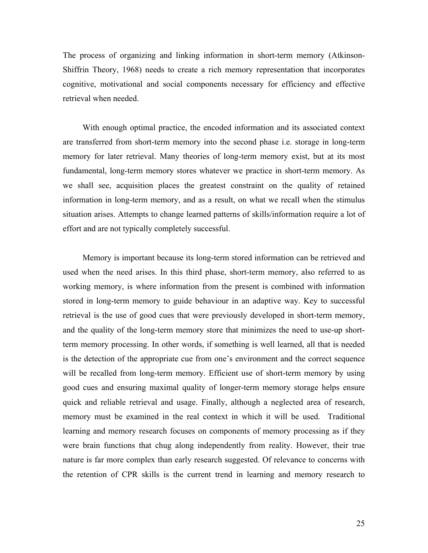The process of organizing and linking information in short-term memory (Atkinson-Shiffrin Theory, 1968) needs to create a rich memory representation that incorporates cognitive, motivational and social components necessary for efficiency and effective retrieval when needed.

With enough optimal practice, the encoded information and its associated context are transferred from short-term memory into the second phase i.e. storage in long-term memory for later retrieval. Many theories of long-term memory exist, but at its most fundamental, long-term memory stores whatever we practice in short-term memory. As we shall see, acquisition places the greatest constraint on the quality of retained information in long-term memory, and as a result, on what we recall when the stimulus situation arises. Attempts to change learned patterns of skills/information require a lot of effort and are not typically completely successful.

Memory is important because its long-term stored information can be retrieved and used when the need arises. In this third phase, short-term memory, also referred to as working memory, is where information from the present is combined with information stored in long-term memory to guide behaviour in an adaptive way. Key to successful retrieval is the use of good cues that were previously developed in short-term memory, and the quality of the long-term memory store that minimizes the need to use-up shortterm memory processing. In other words, if something is well learned, all that is needed is the detection of the appropriate cue from one's environment and the correct sequence will be recalled from long-term memory. Efficient use of short-term memory by using good cues and ensuring maximal quality of longer-term memory storage helps ensure quick and reliable retrieval and usage. Finally, although a neglected area of research, memory must be examined in the real context in which it will be used. Traditional learning and memory research focuses on components of memory processing as if they were brain functions that chug along independently from reality. However, their true nature is far more complex than early research suggested. Of relevance to concerns with the retention of CPR skills is the current trend in learning and memory research to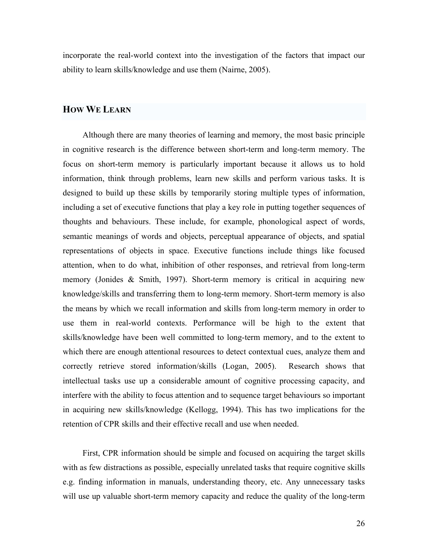incorporate the real-world context into the investigation of the factors that impact our ability to learn skills/knowledge and use them (Nairne, 2005).

#### **HOW WE LEARN**

Although there are many theories of learning and memory, the most basic principle in cognitive research is the difference between short-term and long-term memory. The focus on short-term memory is particularly important because it allows us to hold information, think through problems, learn new skills and perform various tasks. It is designed to build up these skills by temporarily storing multiple types of information, including a set of executive functions that play a key role in putting together sequences of thoughts and behaviours. These include, for example, phonological aspect of words, semantic meanings of words and objects, perceptual appearance of objects, and spatial representations of objects in space. Executive functions include things like focused attention, when to do what, inhibition of other responses, and retrieval from long-term memory (Jonides & Smith, 1997). Short-term memory is critical in acquiring new knowledge/skills and transferring them to long-term memory. Short-term memory is also the means by which we recall information and skills from long-term memory in order to use them in real-world contexts. Performance will be high to the extent that skills/knowledge have been well committed to long-term memory, and to the extent to which there are enough attentional resources to detect contextual cues, analyze them and correctly retrieve stored information/skills (Logan, 2005). Research shows that intellectual tasks use up a considerable amount of cognitive processing capacity, and interfere with the ability to focus attention and to sequence target behaviours so important in acquiring new skills/knowledge (Kellogg, 1994). This has two implications for the retention of CPR skills and their effective recall and use when needed.

First, CPR information should be simple and focused on acquiring the target skills with as few distractions as possible, especially unrelated tasks that require cognitive skills e.g. finding information in manuals, understanding theory, etc. Any unnecessary tasks will use up valuable short-term memory capacity and reduce the quality of the long-term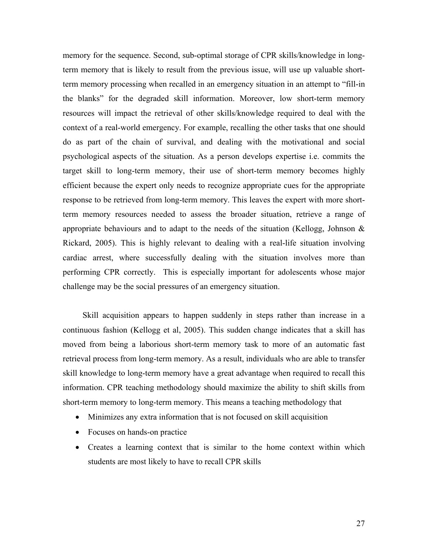memory for the sequence. Second, sub-optimal storage of CPR skills/knowledge in longterm memory that is likely to result from the previous issue, will use up valuable shortterm memory processing when recalled in an emergency situation in an attempt to "fill-in the blanks" for the degraded skill information. Moreover, low short-term memory resources will impact the retrieval of other skills/knowledge required to deal with the context of a real-world emergency. For example, recalling the other tasks that one should do as part of the chain of survival, and dealing with the motivational and social psychological aspects of the situation. As a person develops expertise i.e. commits the target skill to long-term memory, their use of short-term memory becomes highly efficient because the expert only needs to recognize appropriate cues for the appropriate response to be retrieved from long-term memory. This leaves the expert with more shortterm memory resources needed to assess the broader situation, retrieve a range of appropriate behaviours and to adapt to the needs of the situation (Kellogg, Johnson  $\&$ Rickard, 2005). This is highly relevant to dealing with a real-life situation involving cardiac arrest, where successfully dealing with the situation involves more than performing CPR correctly. This is especially important for adolescents whose major challenge may be the social pressures of an emergency situation.

Skill acquisition appears to happen suddenly in steps rather than increase in a continuous fashion (Kellogg et al, 2005). This sudden change indicates that a skill has moved from being a laborious short-term memory task to more of an automatic fast retrieval process from long-term memory. As a result, individuals who are able to transfer skill knowledge to long-term memory have a great advantage when required to recall this information. CPR teaching methodology should maximize the ability to shift skills from short-term memory to long-term memory. This means a teaching methodology that

- Minimizes any extra information that is not focused on skill acquisition
- Focuses on hands-on practice
- Creates a learning context that is similar to the home context within which students are most likely to have to recall CPR skills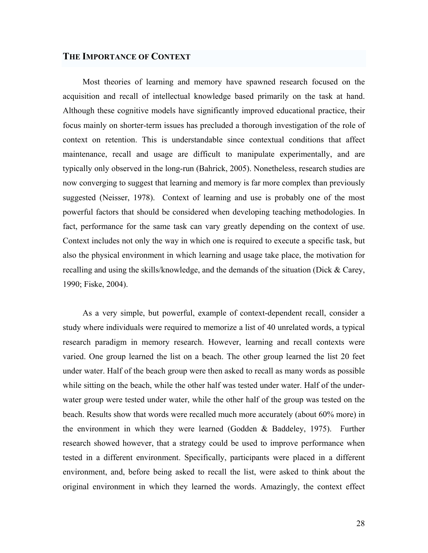#### **THE IMPORTANCE OF CONTEXT**

Most theories of learning and memory have spawned research focused on the acquisition and recall of intellectual knowledge based primarily on the task at hand. Although these cognitive models have significantly improved educational practice, their focus mainly on shorter-term issues has precluded a thorough investigation of the role of context on retention. This is understandable since contextual conditions that affect maintenance, recall and usage are difficult to manipulate experimentally, and are typically only observed in the long-run (Bahrick, 2005). Nonetheless, research studies are now converging to suggest that learning and memory is far more complex than previously suggested (Neisser, 1978). Context of learning and use is probably one of the most powerful factors that should be considered when developing teaching methodologies. In fact, performance for the same task can vary greatly depending on the context of use. Context includes not only the way in which one is required to execute a specific task, but also the physical environment in which learning and usage take place, the motivation for recalling and using the skills/knowledge, and the demands of the situation (Dick & Carey, 1990; Fiske, 2004).

As a very simple, but powerful, example of context-dependent recall, consider a study where individuals were required to memorize a list of 40 unrelated words, a typical research paradigm in memory research. However, learning and recall contexts were varied. One group learned the list on a beach. The other group learned the list 20 feet under water. Half of the beach group were then asked to recall as many words as possible while sitting on the beach, while the other half was tested under water. Half of the underwater group were tested under water, while the other half of the group was tested on the beach. Results show that words were recalled much more accurately (about 60% more) in the environment in which they were learned (Godden & Baddeley, 1975). Further research showed however, that a strategy could be used to improve performance when tested in a different environment. Specifically, participants were placed in a different environment, and, before being asked to recall the list, were asked to think about the original environment in which they learned the words. Amazingly, the context effect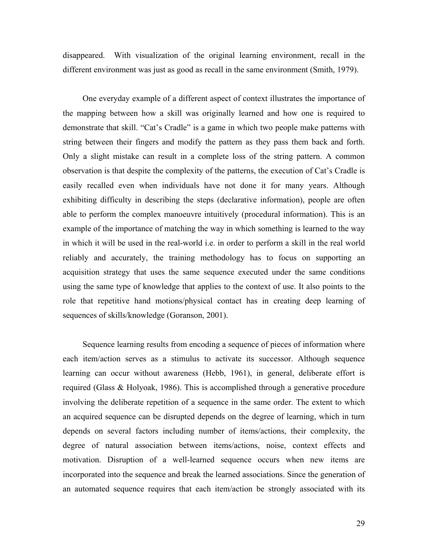disappeared. With visualization of the original learning environment, recall in the different environment was just as good as recall in the same environment (Smith, 1979).

One everyday example of a different aspect of context illustrates the importance of the mapping between how a skill was originally learned and how one is required to demonstrate that skill. "Cat's Cradle" is a game in which two people make patterns with string between their fingers and modify the pattern as they pass them back and forth. Only a slight mistake can result in a complete loss of the string pattern. A common observation is that despite the complexity of the patterns, the execution of Cat's Cradle is easily recalled even when individuals have not done it for many years. Although exhibiting difficulty in describing the steps (declarative information), people are often able to perform the complex manoeuvre intuitively (procedural information). This is an example of the importance of matching the way in which something is learned to the way in which it will be used in the real-world i.e. in order to perform a skill in the real world reliably and accurately, the training methodology has to focus on supporting an acquisition strategy that uses the same sequence executed under the same conditions using the same type of knowledge that applies to the context of use. It also points to the role that repetitive hand motions/physical contact has in creating deep learning of sequences of skills/knowledge (Goranson, 2001).

Sequence learning results from encoding a sequence of pieces of information where each item/action serves as a stimulus to activate its successor. Although sequence learning can occur without awareness (Hebb, 1961), in general, deliberate effort is required (Glass & Holyoak, 1986). This is accomplished through a generative procedure involving the deliberate repetition of a sequence in the same order. The extent to which an acquired sequence can be disrupted depends on the degree of learning, which in turn depends on several factors including number of items/actions, their complexity, the degree of natural association between items/actions, noise, context effects and motivation. Disruption of a well-learned sequence occurs when new items are incorporated into the sequence and break the learned associations. Since the generation of an automated sequence requires that each item/action be strongly associated with its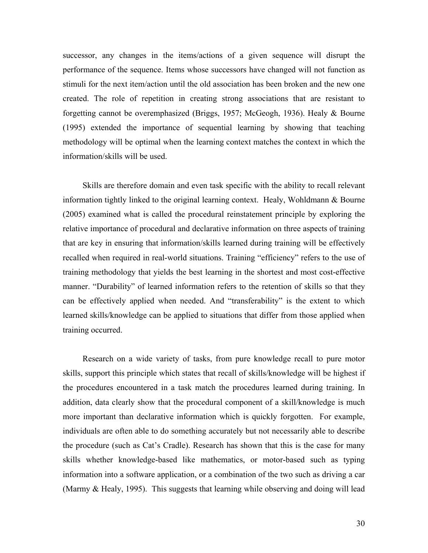successor, any changes in the items/actions of a given sequence will disrupt the performance of the sequence. Items whose successors have changed will not function as stimuli for the next item/action until the old association has been broken and the new one created. The role of repetition in creating strong associations that are resistant to forgetting cannot be overemphasized (Briggs, 1957; McGeogh, 1936). Healy & Bourne (1995) extended the importance of sequential learning by showing that teaching methodology will be optimal when the learning context matches the context in which the information/skills will be used.

Skills are therefore domain and even task specific with the ability to recall relevant information tightly linked to the original learning context. Healy, Wohldmann & Bourne (2005) examined what is called the procedural reinstatement principle by exploring the relative importance of procedural and declarative information on three aspects of training that are key in ensuring that information/skills learned during training will be effectively recalled when required in real-world situations. Training "efficiency" refers to the use of training methodology that yields the best learning in the shortest and most cost-effective manner. "Durability" of learned information refers to the retention of skills so that they can be effectively applied when needed. And "transferability" is the extent to which learned skills/knowledge can be applied to situations that differ from those applied when training occurred.

Research on a wide variety of tasks, from pure knowledge recall to pure motor skills, support this principle which states that recall of skills/knowledge will be highest if the procedures encountered in a task match the procedures learned during training. In addition, data clearly show that the procedural component of a skill/knowledge is much more important than declarative information which is quickly forgotten. For example, individuals are often able to do something accurately but not necessarily able to describe the procedure (such as Cat's Cradle). Research has shown that this is the case for many skills whether knowledge-based like mathematics, or motor-based such as typing information into a software application, or a combination of the two such as driving a car (Marmy & Healy, 1995). This suggests that learning while observing and doing will lead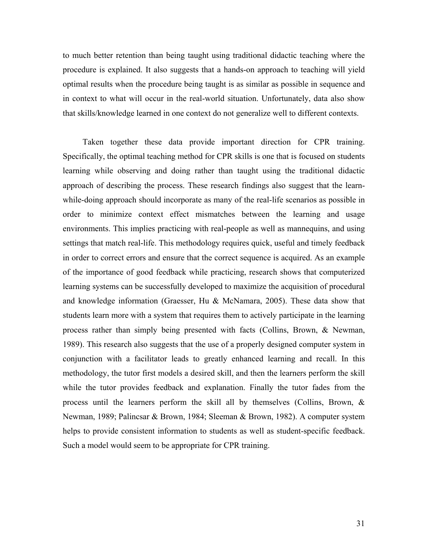to much better retention than being taught using traditional didactic teaching where the procedure is explained. It also suggests that a hands-on approach to teaching will yield optimal results when the procedure being taught is as similar as possible in sequence and in context to what will occur in the real-world situation. Unfortunately, data also show that skills/knowledge learned in one context do not generalize well to different contexts.

Taken together these data provide important direction for CPR training. Specifically, the optimal teaching method for CPR skills is one that is focused on students learning while observing and doing rather than taught using the traditional didactic approach of describing the process. These research findings also suggest that the learnwhile-doing approach should incorporate as many of the real-life scenarios as possible in order to minimize context effect mismatches between the learning and usage environments. This implies practicing with real-people as well as mannequins, and using settings that match real-life. This methodology requires quick, useful and timely feedback in order to correct errors and ensure that the correct sequence is acquired. As an example of the importance of good feedback while practicing, research shows that computerized learning systems can be successfully developed to maximize the acquisition of procedural and knowledge information (Graesser, Hu & McNamara, 2005). These data show that students learn more with a system that requires them to actively participate in the learning process rather than simply being presented with facts (Collins, Brown, & Newman, 1989). This research also suggests that the use of a properly designed computer system in conjunction with a facilitator leads to greatly enhanced learning and recall. In this methodology, the tutor first models a desired skill, and then the learners perform the skill while the tutor provides feedback and explanation. Finally the tutor fades from the process until the learners perform the skill all by themselves (Collins, Brown, & Newman, 1989; Palincsar & Brown, 1984; Sleeman & Brown, 1982). A computer system helps to provide consistent information to students as well as student-specific feedback. Such a model would seem to be appropriate for CPR training.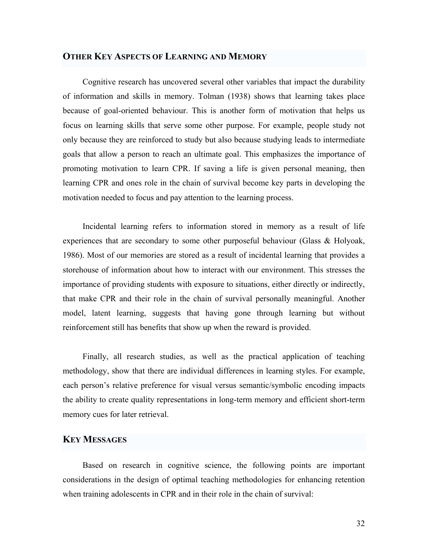#### **OTHER KEY ASPECTS OF LEARNING AND MEMORY**

Cognitive research has uncovered several other variables that impact the durability of information and skills in memory. Tolman (1938) shows that learning takes place because of goal-oriented behaviour. This is another form of motivation that helps us focus on learning skills that serve some other purpose. For example, people study not only because they are reinforced to study but also because studying leads to intermediate goals that allow a person to reach an ultimate goal. This emphasizes the importance of promoting motivation to learn CPR. If saving a life is given personal meaning, then learning CPR and ones role in the chain of survival become key parts in developing the motivation needed to focus and pay attention to the learning process.

Incidental learning refers to information stored in memory as a result of life experiences that are secondary to some other purposeful behaviour (Glass & Holyoak, 1986). Most of our memories are stored as a result of incidental learning that provides a storehouse of information about how to interact with our environment. This stresses the importance of providing students with exposure to situations, either directly or indirectly, that make CPR and their role in the chain of survival personally meaningful. Another model, latent learning, suggests that having gone through learning but without reinforcement still has benefits that show up when the reward is provided.

Finally, all research studies, as well as the practical application of teaching methodology, show that there are individual differences in learning styles. For example, each person's relative preference for visual versus semantic/symbolic encoding impacts the ability to create quality representations in long-term memory and efficient short-term memory cues for later retrieval.

### **KEY MESSAGES**

Based on research in cognitive science, the following points are important considerations in the design of optimal teaching methodologies for enhancing retention when training adolescents in CPR and in their role in the chain of survival: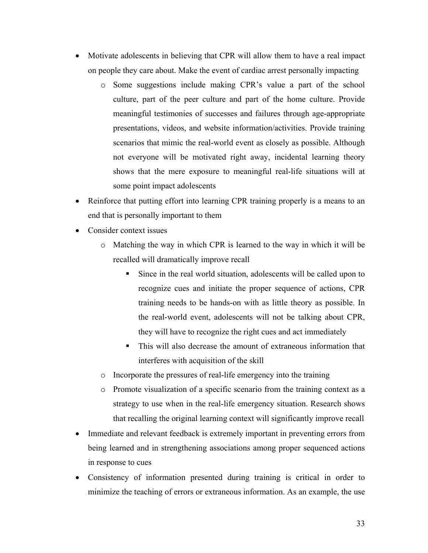- Motivate adolescents in believing that CPR will allow them to have a real impact on people they care about. Make the event of cardiac arrest personally impacting
	- o Some suggestions include making CPR's value a part of the school culture, part of the peer culture and part of the home culture. Provide meaningful testimonies of successes and failures through age-appropriate presentations, videos, and website information/activities. Provide training scenarios that mimic the real-world event as closely as possible. Although not everyone will be motivated right away, incidental learning theory shows that the mere exposure to meaningful real-life situations will at some point impact adolescents
- Reinforce that putting effort into learning CPR training properly is a means to an end that is personally important to them
- Consider context issues
	- $\circ$  Matching the way in which CPR is learned to the way in which it will be recalled will dramatically improve recall
		- Since in the real world situation, adolescents will be called upon to recognize cues and initiate the proper sequence of actions, CPR training needs to be hands-on with as little theory as possible. In the real-world event, adolescents will not be talking about CPR, they will have to recognize the right cues and act immediately
		- This will also decrease the amount of extraneous information that interferes with acquisition of the skill
	- o Incorporate the pressures of real-life emergency into the training
	- o Promote visualization of a specific scenario from the training context as a strategy to use when in the real-life emergency situation. Research shows that recalling the original learning context will significantly improve recall
- Immediate and relevant feedback is extremely important in preventing errors from being learned and in strengthening associations among proper sequenced actions in response to cues
- Consistency of information presented during training is critical in order to minimize the teaching of errors or extraneous information. As an example, the use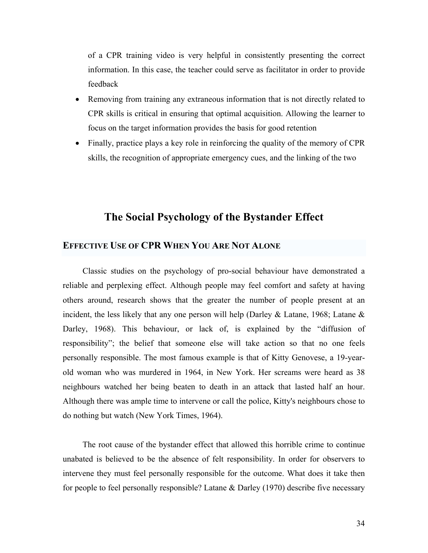of a CPR training video is very helpful in consistently presenting the correct information. In this case, the teacher could serve as facilitator in order to provide feedback

- Removing from training any extraneous information that is not directly related to CPR skills is critical in ensuring that optimal acquisition. Allowing the learner to focus on the target information provides the basis for good retention
- Finally, practice plays a key role in reinforcing the quality of the memory of CPR skills, the recognition of appropriate emergency cues, and the linking of the two

## **The Social Psychology of the Bystander Effect**

#### **EFFECTIVE USE OF CPR WHEN YOU ARE NOT ALONE**

Classic studies on the psychology of pro-social behaviour have demonstrated a reliable and perplexing effect. Although people may feel comfort and safety at having others around, research shows that the greater the number of people present at an incident, the less likely that any one person will help (Darley & Latane, 1968; Latane & Darley, 1968). This behaviour, or lack of, is explained by the "diffusion of responsibility"; the belief that someone else will take action so that no one feels personally responsible. The most famous example is that of Kitty Genovese, a 19-yearold woman who was murdered in 1964, in New York. Her screams were heard as 38 neighbours watched her being beaten to death in an attack that lasted half an hour. Although there was ample time to intervene or call the police, Kitty's neighbours chose to do nothing but watch (New York Times, 1964).

The root cause of the bystander effect that allowed this horrible crime to continue unabated is believed to be the absence of felt responsibility. In order for observers to intervene they must feel personally responsible for the outcome. What does it take then for people to feel personally responsible? Latane & Darley (1970) describe five necessary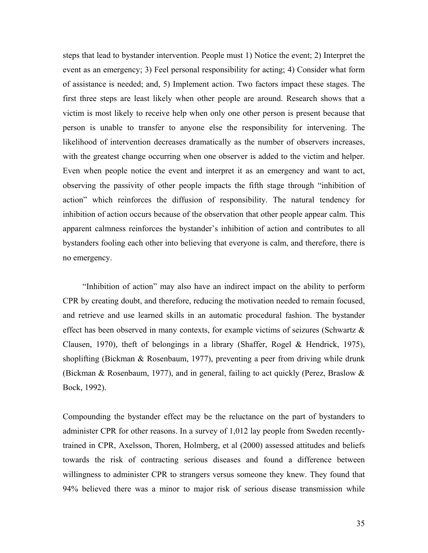steps that lead to bystander intervention. People must 1) Notice the event; 2) Interpret the event as an emergency; 3) Feel personal responsibility for acting; 4) Consider what form of assistance is needed; and, 5) Implement action. Two factors impact these stages. The first three steps are least likely when other people are around. Research shows that a victim is most likely to receive help when only one other person is present because that person is unable to transfer to anyone else the responsibility for intervening. The likelihood of intervention decreases dramatically as the number of observers increases, with the greatest change occurring when one observer is added to the victim and helper. Even when people notice the event and interpret it as an emergency and want to act, observing the passivity of other people impacts the fifth stage through "inhibition of action" which reinforces the diffusion of responsibility. The natural tendency for inhibition of action occurs because of the observation that other people appear calm. This apparent calmness reinforces the bystander's inhibition of action and contributes to all bystanders fooling each other into believing that everyone is calm, and therefore, there is no emergency.

"Inhibition of action" may also have an indirect impact on the ability to perform CPR by creating doubt, and therefore, reducing the motivation needed to remain focused, and retrieve and use learned skills in an automatic procedural fashion. The bystander effect has been observed in many contexts, for example victims of seizures (Schwartz & Clausen, 1970), theft of belongings in a library (Shaffer, Rogel & Hendrick, 1975), shoplifting (Bickman & Rosenbaum, 1977), preventing a peer from driving while drunk (Bickman & Rosenbaum, 1977), and in general, failing to act quickly (Perez, Braslow & Bock, 1992).

Compounding the bystander effect may be the reluctance on the part of bystanders to administer CPR for other reasons. In a survey of 1,012 lay people from Sweden recentlytrained in CPR, Axelsson, Thoren, Holmberg, et al (2000) assessed attitudes and beliefs towards the risk of contracting serious diseases and found a difference between willingness to administer CPR to strangers versus someone they knew. They found that 94% believed there was a minor to major risk of serious disease transmission while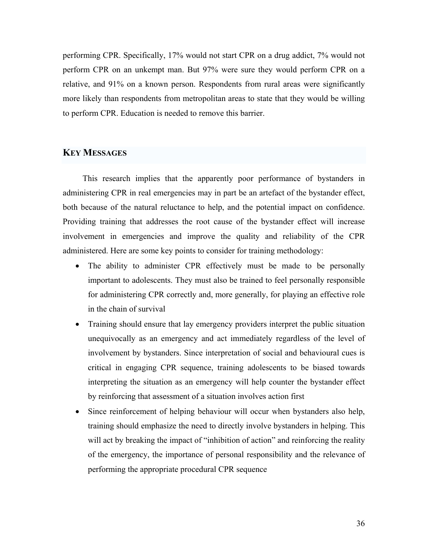performing CPR. Specifically, 17% would not start CPR on a drug addict, 7% would not perform CPR on an unkempt man. But 97% were sure they would perform CPR on a relative, and 91% on a known person. Respondents from rural areas were significantly more likely than respondents from metropolitan areas to state that they would be willing to perform CPR. Education is needed to remove this barrier.

#### **KEY MESSAGES**

This research implies that the apparently poor performance of bystanders in administering CPR in real emergencies may in part be an artefact of the bystander effect, both because of the natural reluctance to help, and the potential impact on confidence. Providing training that addresses the root cause of the bystander effect will increase involvement in emergencies and improve the quality and reliability of the CPR administered. Here are some key points to consider for training methodology:

- The ability to administer CPR effectively must be made to be personally important to adolescents. They must also be trained to feel personally responsible for administering CPR correctly and, more generally, for playing an effective role in the chain of survival
- Training should ensure that lay emergency providers interpret the public situation unequivocally as an emergency and act immediately regardless of the level of involvement by bystanders. Since interpretation of social and behavioural cues is critical in engaging CPR sequence, training adolescents to be biased towards interpreting the situation as an emergency will help counter the bystander effect by reinforcing that assessment of a situation involves action first
- Since reinforcement of helping behaviour will occur when bystanders also help, training should emphasize the need to directly involve bystanders in helping. This will act by breaking the impact of "inhibition of action" and reinforcing the reality of the emergency, the importance of personal responsibility and the relevance of performing the appropriate procedural CPR sequence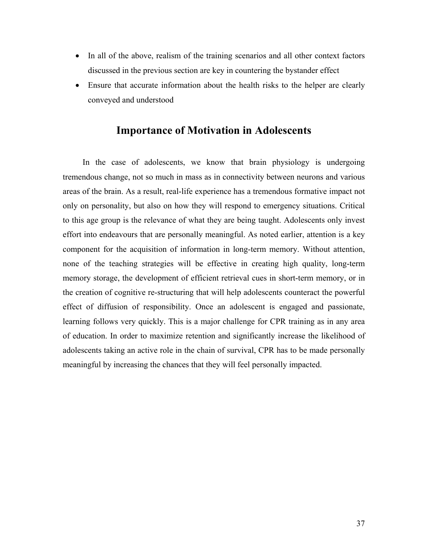- In all of the above, realism of the training scenarios and all other context factors discussed in the previous section are key in countering the bystander effect
- Ensure that accurate information about the health risks to the helper are clearly conveyed and understood

### **Importance of Motivation in Adolescents**

In the case of adolescents, we know that brain physiology is undergoing tremendous change, not so much in mass as in connectivity between neurons and various areas of the brain. As a result, real-life experience has a tremendous formative impact not only on personality, but also on how they will respond to emergency situations. Critical to this age group is the relevance of what they are being taught. Adolescents only invest effort into endeavours that are personally meaningful. As noted earlier, attention is a key component for the acquisition of information in long-term memory. Without attention, none of the teaching strategies will be effective in creating high quality, long-term memory storage, the development of efficient retrieval cues in short-term memory, or in the creation of cognitive re-structuring that will help adolescents counteract the powerful effect of diffusion of responsibility. Once an adolescent is engaged and passionate, learning follows very quickly. This is a major challenge for CPR training as in any area of education. In order to maximize retention and significantly increase the likelihood of adolescents taking an active role in the chain of survival, CPR has to be made personally meaningful by increasing the chances that they will feel personally impacted.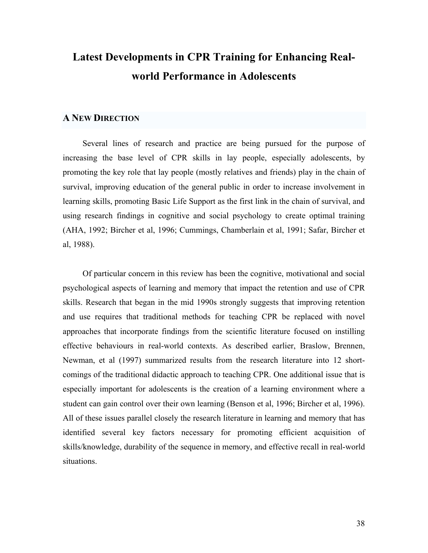# **Latest Developments in CPR Training for Enhancing Realworld Performance in Adolescents**

#### **A NEW DIRECTION**

Several lines of research and practice are being pursued for the purpose of increasing the base level of CPR skills in lay people, especially adolescents, by promoting the key role that lay people (mostly relatives and friends) play in the chain of survival, improving education of the general public in order to increase involvement in learning skills, promoting Basic Life Support as the first link in the chain of survival, and using research findings in cognitive and social psychology to create optimal training (AHA, 1992; Bircher et al, 1996; Cummings, Chamberlain et al, 1991; Safar, Bircher et al, 1988).

Of particular concern in this review has been the cognitive, motivational and social psychological aspects of learning and memory that impact the retention and use of CPR skills. Research that began in the mid 1990s strongly suggests that improving retention and use requires that traditional methods for teaching CPR be replaced with novel approaches that incorporate findings from the scientific literature focused on instilling effective behaviours in real-world contexts. As described earlier, Braslow, Brennen, Newman, et al (1997) summarized results from the research literature into 12 shortcomings of the traditional didactic approach to teaching CPR. One additional issue that is especially important for adolescents is the creation of a learning environment where a student can gain control over their own learning (Benson et al, 1996; Bircher et al, 1996). All of these issues parallel closely the research literature in learning and memory that has identified several key factors necessary for promoting efficient acquisition of skills/knowledge, durability of the sequence in memory, and effective recall in real-world situations.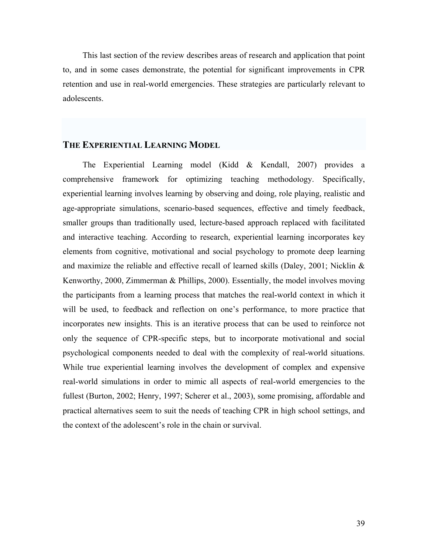This last section of the review describes areas of research and application that point to, and in some cases demonstrate, the potential for significant improvements in CPR retention and use in real-world emergencies. These strategies are particularly relevant to adolescents.

#### **THE EXPERIENTIAL LEARNING MODEL**

The Experiential Learning model (Kidd & Kendall, 2007) provides a comprehensive framework for optimizing teaching methodology. Specifically, experiential learning involves learning by observing and doing, role playing, realistic and age-appropriate simulations, scenario-based sequences, effective and timely feedback, smaller groups than traditionally used, lecture-based approach replaced with facilitated and interactive teaching. According to research, experiential learning incorporates key elements from cognitive, motivational and social psychology to promote deep learning and maximize the reliable and effective recall of learned skills (Daley, 2001; Nicklin & Kenworthy, 2000, Zimmerman & Phillips, 2000). Essentially, the model involves moving the participants from a learning process that matches the real-world context in which it will be used, to feedback and reflection on one's performance, to more practice that incorporates new insights. This is an iterative process that can be used to reinforce not only the sequence of CPR-specific steps, but to incorporate motivational and social psychological components needed to deal with the complexity of real-world situations. While true experiential learning involves the development of complex and expensive real-world simulations in order to mimic all aspects of real-world emergencies to the fullest (Burton, 2002; Henry, 1997; Scherer et al., 2003), some promising, affordable and practical alternatives seem to suit the needs of teaching CPR in high school settings, and the context of the adolescent's role in the chain or survival.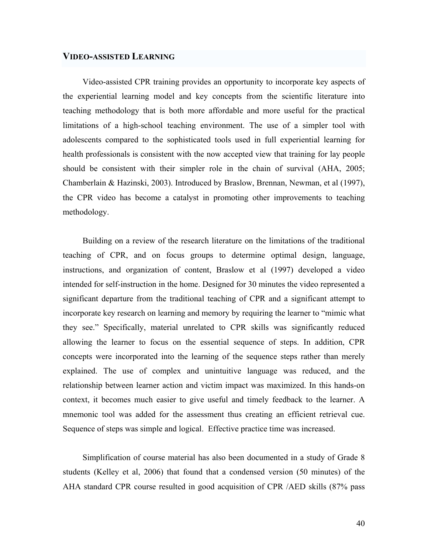#### **VIDEO-ASSISTED LEARNING**

Video-assisted CPR training provides an opportunity to incorporate key aspects of the experiential learning model and key concepts from the scientific literature into teaching methodology that is both more affordable and more useful for the practical limitations of a high-school teaching environment. The use of a simpler tool with adolescents compared to the sophisticated tools used in full experiential learning for health professionals is consistent with the now accepted view that training for lay people should be consistent with their simpler role in the chain of survival (AHA, 2005; Chamberlain & Hazinski, 2003). Introduced by Braslow, Brennan, Newman, et al (1997), the CPR video has become a catalyst in promoting other improvements to teaching methodology.

Building on a review of the research literature on the limitations of the traditional teaching of CPR, and on focus groups to determine optimal design, language, instructions, and organization of content, Braslow et al (1997) developed a video intended for self-instruction in the home. Designed for 30 minutes the video represented a significant departure from the traditional teaching of CPR and a significant attempt to incorporate key research on learning and memory by requiring the learner to "mimic what they see." Specifically, material unrelated to CPR skills was significantly reduced allowing the learner to focus on the essential sequence of steps. In addition, CPR concepts were incorporated into the learning of the sequence steps rather than merely explained. The use of complex and unintuitive language was reduced, and the relationship between learner action and victim impact was maximized. In this hands-on context, it becomes much easier to give useful and timely feedback to the learner. A mnemonic tool was added for the assessment thus creating an efficient retrieval cue. Sequence of steps was simple and logical. Effective practice time was increased.

Simplification of course material has also been documented in a study of Grade 8 students (Kelley et al, 2006) that found that a condensed version (50 minutes) of the AHA standard CPR course resulted in good acquisition of CPR /AED skills (87% pass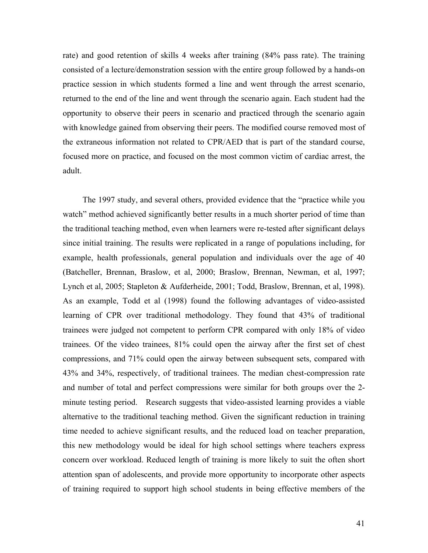rate) and good retention of skills 4 weeks after training (84% pass rate). The training consisted of a lecture/demonstration session with the entire group followed by a hands-on practice session in which students formed a line and went through the arrest scenario, returned to the end of the line and went through the scenario again. Each student had the opportunity to observe their peers in scenario and practiced through the scenario again with knowledge gained from observing their peers. The modified course removed most of the extraneous information not related to CPR/AED that is part of the standard course, focused more on practice, and focused on the most common victim of cardiac arrest, the adult.

The 1997 study, and several others, provided evidence that the "practice while you watch" method achieved significantly better results in a much shorter period of time than the traditional teaching method, even when learners were re-tested after significant delays since initial training. The results were replicated in a range of populations including, for example, health professionals, general population and individuals over the age of 40 (Batcheller, Brennan, Braslow, et al, 2000; Braslow, Brennan, Newman, et al, 1997; Lynch et al, 2005; Stapleton & Aufderheide, 2001; Todd, Braslow, Brennan, et al, 1998). As an example, Todd et al (1998) found the following advantages of video-assisted learning of CPR over traditional methodology. They found that 43% of traditional trainees were judged not competent to perform CPR compared with only 18% of video trainees. Of the video trainees, 81% could open the airway after the first set of chest compressions, and 71% could open the airway between subsequent sets, compared with 43% and 34%, respectively, of traditional trainees. The median chest-compression rate and number of total and perfect compressions were similar for both groups over the 2 minute testing period. Research suggests that video-assisted learning provides a viable alternative to the traditional teaching method. Given the significant reduction in training time needed to achieve significant results, and the reduced load on teacher preparation, this new methodology would be ideal for high school settings where teachers express concern over workload. Reduced length of training is more likely to suit the often short attention span of adolescents, and provide more opportunity to incorporate other aspects of training required to support high school students in being effective members of the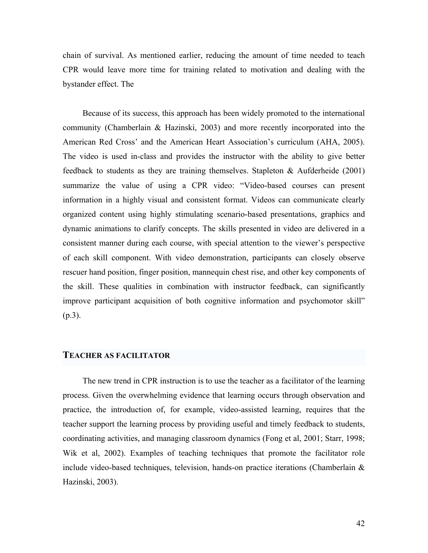chain of survival. As mentioned earlier, reducing the amount of time needed to teach CPR would leave more time for training related to motivation and dealing with the bystander effect. The

Because of its success, this approach has been widely promoted to the international community (Chamberlain & Hazinski, 2003) and more recently incorporated into the American Red Cross' and the American Heart Association's curriculum (AHA, 2005). The video is used in-class and provides the instructor with the ability to give better feedback to students as they are training themselves. Stapleton & Aufderheide (2001) summarize the value of using a CPR video: "Video-based courses can present information in a highly visual and consistent format. Videos can communicate clearly organized content using highly stimulating scenario-based presentations, graphics and dynamic animations to clarify concepts. The skills presented in video are delivered in a consistent manner during each course, with special attention to the viewer's perspective of each skill component. With video demonstration, participants can closely observe rescuer hand position, finger position, mannequin chest rise, and other key components of the skill. These qualities in combination with instructor feedback, can significantly improve participant acquisition of both cognitive information and psychomotor skill" (p.3).

#### **TEACHER AS FACILITATOR**

The new trend in CPR instruction is to use the teacher as a facilitator of the learning process. Given the overwhelming evidence that learning occurs through observation and practice, the introduction of, for example, video-assisted learning, requires that the teacher support the learning process by providing useful and timely feedback to students, coordinating activities, and managing classroom dynamics (Fong et al, 2001; Starr, 1998; Wik et al, 2002). Examples of teaching techniques that promote the facilitator role include video-based techniques, television, hands-on practice iterations (Chamberlain & Hazinski, 2003).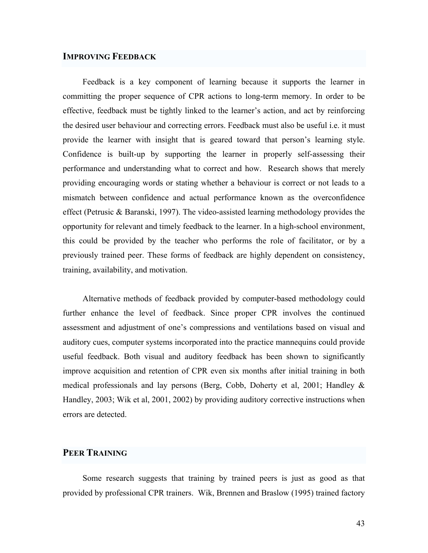#### **IMPROVING FEEDBACK**

Feedback is a key component of learning because it supports the learner in committing the proper sequence of CPR actions to long-term memory. In order to be effective, feedback must be tightly linked to the learner's action, and act by reinforcing the desired user behaviour and correcting errors. Feedback must also be useful i.e. it must provide the learner with insight that is geared toward that person's learning style. Confidence is built-up by supporting the learner in properly self-assessing their performance and understanding what to correct and how. Research shows that merely providing encouraging words or stating whether a behaviour is correct or not leads to a mismatch between confidence and actual performance known as the overconfidence effect (Petrusic & Baranski, 1997). The video-assisted learning methodology provides the opportunity for relevant and timely feedback to the learner. In a high-school environment, this could be provided by the teacher who performs the role of facilitator, or by a previously trained peer. These forms of feedback are highly dependent on consistency, training, availability, and motivation.

Alternative methods of feedback provided by computer-based methodology could further enhance the level of feedback. Since proper CPR involves the continued assessment and adjustment of one's compressions and ventilations based on visual and auditory cues, computer systems incorporated into the practice mannequins could provide useful feedback. Both visual and auditory feedback has been shown to significantly improve acquisition and retention of CPR even six months after initial training in both medical professionals and lay persons (Berg, Cobb, Doherty et al, 2001; Handley & Handley, 2003; Wik et al, 2001, 2002) by providing auditory corrective instructions when errors are detected.

#### **PEER TRAINING**

Some research suggests that training by trained peers is just as good as that provided by professional CPR trainers. Wik, Brennen and Braslow (1995) trained factory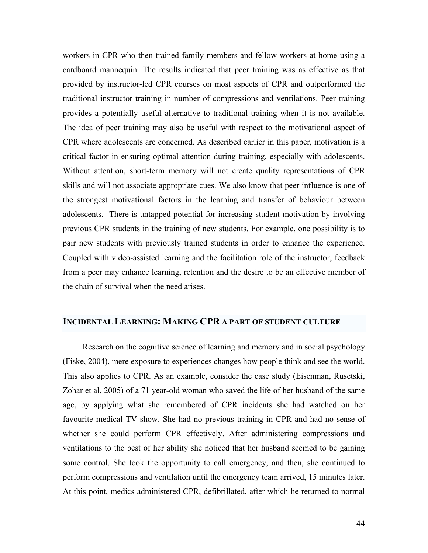workers in CPR who then trained family members and fellow workers at home using a cardboard mannequin. The results indicated that peer training was as effective as that provided by instructor-led CPR courses on most aspects of CPR and outperformed the traditional instructor training in number of compressions and ventilations. Peer training provides a potentially useful alternative to traditional training when it is not available. The idea of peer training may also be useful with respect to the motivational aspect of CPR where adolescents are concerned. As described earlier in this paper, motivation is a critical factor in ensuring optimal attention during training, especially with adolescents. Without attention, short-term memory will not create quality representations of CPR skills and will not associate appropriate cues. We also know that peer influence is one of the strongest motivational factors in the learning and transfer of behaviour between adolescents. There is untapped potential for increasing student motivation by involving previous CPR students in the training of new students. For example, one possibility is to pair new students with previously trained students in order to enhance the experience. Coupled with video-assisted learning and the facilitation role of the instructor, feedback from a peer may enhance learning, retention and the desire to be an effective member of the chain of survival when the need arises.

#### **INCIDENTAL LEARNING: MAKING CPR A PART OF STUDENT CULTURE**

Research on the cognitive science of learning and memory and in social psychology (Fiske, 2004), mere exposure to experiences changes how people think and see the world. This also applies to CPR. As an example, consider the case study (Eisenman, Rusetski, Zohar et al, 2005) of a 71 year-old woman who saved the life of her husband of the same age, by applying what she remembered of CPR incidents she had watched on her favourite medical TV show. She had no previous training in CPR and had no sense of whether she could perform CPR effectively. After administering compressions and ventilations to the best of her ability she noticed that her husband seemed to be gaining some control. She took the opportunity to call emergency, and then, she continued to perform compressions and ventilation until the emergency team arrived, 15 minutes later. At this point, medics administered CPR, defibrillated, after which he returned to normal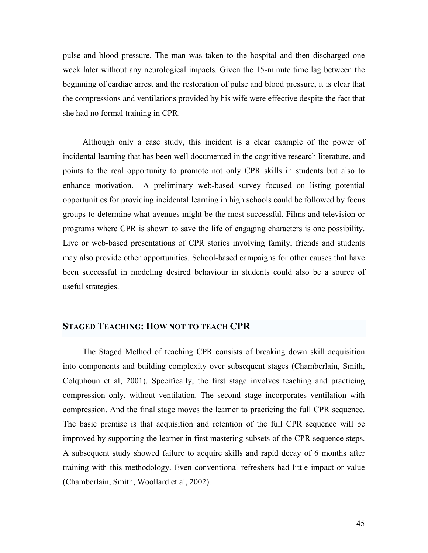pulse and blood pressure. The man was taken to the hospital and then discharged one week later without any neurological impacts. Given the 15-minute time lag between the beginning of cardiac arrest and the restoration of pulse and blood pressure, it is clear that the compressions and ventilations provided by his wife were effective despite the fact that she had no formal training in CPR.

Although only a case study, this incident is a clear example of the power of incidental learning that has been well documented in the cognitive research literature, and points to the real opportunity to promote not only CPR skills in students but also to enhance motivation. A preliminary web-based survey focused on listing potential opportunities for providing incidental learning in high schools could be followed by focus groups to determine what avenues might be the most successful. Films and television or programs where CPR is shown to save the life of engaging characters is one possibility. Live or web-based presentations of CPR stories involving family, friends and students may also provide other opportunities. School-based campaigns for other causes that have been successful in modeling desired behaviour in students could also be a source of useful strategies.

#### **STAGED TEACHING: HOW NOT TO TEACH CPR**

The Staged Method of teaching CPR consists of breaking down skill acquisition into components and building complexity over subsequent stages (Chamberlain, Smith, Colquhoun et al, 2001). Specifically, the first stage involves teaching and practicing compression only, without ventilation. The second stage incorporates ventilation with compression. And the final stage moves the learner to practicing the full CPR sequence. The basic premise is that acquisition and retention of the full CPR sequence will be improved by supporting the learner in first mastering subsets of the CPR sequence steps. A subsequent study showed failure to acquire skills and rapid decay of 6 months after training with this methodology. Even conventional refreshers had little impact or value (Chamberlain, Smith, Woollard et al, 2002).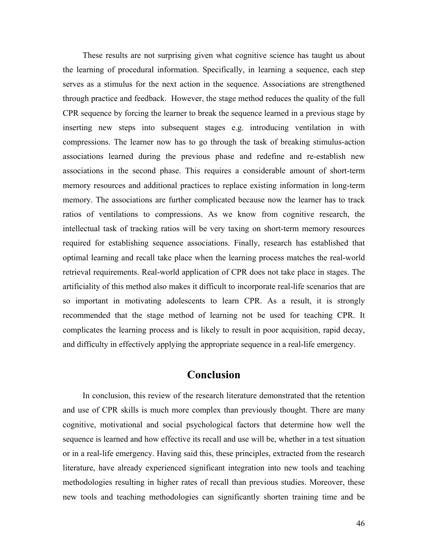These results are not surprising given what cognitive science has taught us about the learning of procedural information. Specifically, in learning a sequence, each step serves as a stimulus for the next action in the sequence. Associations are strengthened through practice and feedback. However, the stage method reduces the quality of the full CPR sequence by forcing the learner to break the sequence learned in a previous stage by inserting new steps into subsequent stages e.g. introducing ventilation in with compressions. The learner now has to go through the task of breaking stimulus-action associations learned during the previous phase and redefine and re-establish new associations in the second phase. This requires a considerable amount of short-term memory resources and additional practices to replace existing information in long-term memory. The associations are further complicated because now the learner has to track ratios of ventilations to compressions. As we know from cognitive research, the intellectual task of tracking ratios will be very taxing on short-term memory resources required for establishing sequence associations. Finally, research has established that optimal learning and recall take place when the learning process matches the real-world retrieval requirements. Real-world application of CPR does not take place in stages. The artificiality of this method also makes it difficult to incorporate real-life scenarios that are so important in motivating adolescents to learn CPR. As a result, it is strongly recommended that the stage method of learning not be used for teaching CPR. It complicates the learning process and is likely to result in poor acquisition, rapid decay, and difficulty in effectively applying the appropriate sequence in a real-life emergency.

# **Conclusion**

In conclusion, this review of the research literature demonstrated that the retention and use of CPR skills is much more complex than previously thought. There are many cognitive, motivational and social psychological factors that determine how well the sequence is learned and how effective its recall and use will be, whether in a test situation or in a real-life emergency. Having said this, these principles, extracted from the research literature, have already experienced significant integration into new tools and teaching methodologies resulting in higher rates of recall than previous studies. Moreover, these new tools and teaching methodologies can significantly shorten training time and be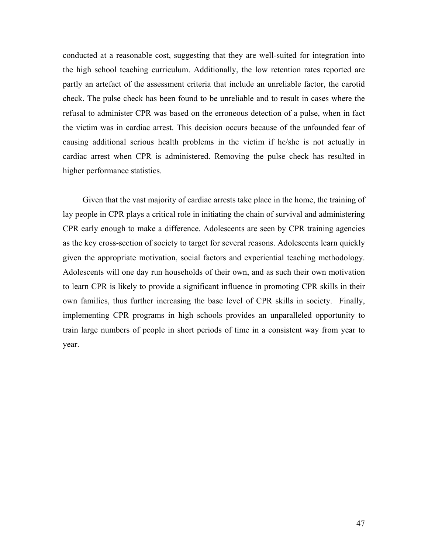conducted at a reasonable cost, suggesting that they are well-suited for integration into the high school teaching curriculum. Additionally, the low retention rates reported are partly an artefact of the assessment criteria that include an unreliable factor, the carotid check. The pulse check has been found to be unreliable and to result in cases where the refusal to administer CPR was based on the erroneous detection of a pulse, when in fact the victim was in cardiac arrest. This decision occurs because of the unfounded fear of causing additional serious health problems in the victim if he/she is not actually in cardiac arrest when CPR is administered. Removing the pulse check has resulted in higher performance statistics.

Given that the vast majority of cardiac arrests take place in the home, the training of lay people in CPR plays a critical role in initiating the chain of survival and administering CPR early enough to make a difference. Adolescents are seen by CPR training agencies as the key cross-section of society to target for several reasons. Adolescents learn quickly given the appropriate motivation, social factors and experiential teaching methodology. Adolescents will one day run households of their own, and as such their own motivation to learn CPR is likely to provide a significant influence in promoting CPR skills in their own families, thus further increasing the base level of CPR skills in society. Finally, implementing CPR programs in high schools provides an unparalleled opportunity to train large numbers of people in short periods of time in a consistent way from year to year.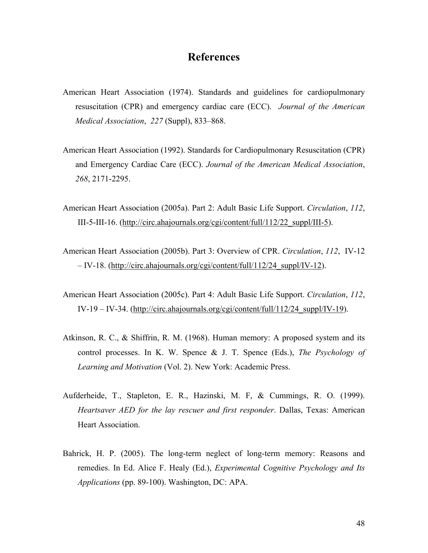# **References**

- American Heart Association (1974). Standards and guidelines for cardiopulmonary resuscitation (CPR) and emergency cardiac care (ECC). *Journal of the American Medical Association*, *227* (Suppl), 833–868.
- American Heart Association (1992). Standards for Cardiopulmonary Resuscitation (CPR) and Emergency Cardiac Care (ECC). *Journal of the American Medical Association*, *268*, 2171-2295.
- American Heart Association (2005a). Part 2: Adult Basic Life Support. *Circulation*, *112*, III-5-III-16. (http://circ.ahajournals.org/cgi/content/full/112/22\_suppl/III-5).
- American Heart Association (2005b). Part 3: Overview of CPR. *Circulation*, *112*, IV-12 – IV-18. (http://circ.ahajournals.org/cgi/content/full/112/24\_suppl/IV-12).
- American Heart Association (2005c). Part 4: Adult Basic Life Support. *Circulation*, *112*, IV-19 – IV-34. (http://circ.ahajournals.org/cgi/content/full/112/24\_suppl/IV-19).
- Atkinson, R. C., & Shiffrin, R. M. (1968). Human memory: A proposed system and its control processes. In K. W. Spence & J. T. Spence (Eds.), *The Psychology of Learning and Motivation* (Vol. 2). New York: Academic Press.
- Aufderheide, T., Stapleton, E. R., Hazinski, M. F, & Cummings, R. O. (1999). *Heartsaver AED for the lay rescuer and first responder*. Dallas, Texas: American Heart Association.
- Bahrick, H. P. (2005). The long-term neglect of long-term memory: Reasons and remedies. In Ed. Alice F. Healy (Ed.), *Experimental Cognitive Psychology and Its Applications* (pp. 89-100). Washington, DC: APA.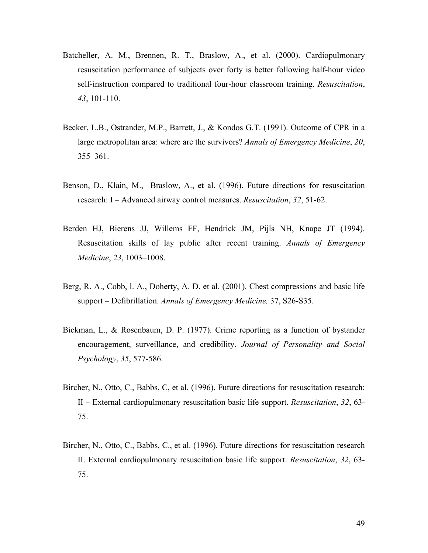- Batcheller, A. M., Brennen, R. T., Braslow, A., et al. (2000). Cardiopulmonary resuscitation performance of subjects over forty is better following half-hour video self-instruction compared to traditional four-hour classroom training. *Resuscitation*, *43*, 101-110.
- Becker, L.B., Ostrander, M.P., Barrett, J., & Kondos G.T. (1991). Outcome of CPR in a large metropolitan area: where are the survivors? *Annals of Emergency Medicine*, *20*, 355–361.
- Benson, D., Klain, M., Braslow, A., et al. (1996). Future directions for resuscitation research: I – Advanced airway control measures. *Resuscitation*, *32*, 51-62.
- Berden HJ, Bierens JJ, Willems FF, Hendrick JM, Pijls NH, Knape JT (1994). Resuscitation skills of lay public after recent training. *Annals of Emergency Medicine*, *23*, 1003–1008.
- Berg, R. A., Cobb, l. A., Doherty, A. D. et al. (2001). Chest compressions and basic life support – Defibrillation. *Annals of Emergency Medicine,* 37, S26-S35.
- Bickman, L., & Rosenbaum, D. P. (1977). Crime reporting as a function of bystander encouragement, surveillance, and credibility. *Journal of Personality and Social Psychology*, *35*, 577-586.
- Bircher, N., Otto, C., Babbs, C, et al. (1996). Future directions for resuscitation research: II – External cardiopulmonary resuscitation basic life support. *Resuscitation*, *32*, 63- 75.
- Bircher, N., Otto, C., Babbs, C., et al. (1996). Future directions for resuscitation research II. External cardiopulmonary resuscitation basic life support. *Resuscitation*, *32*, 63- 75.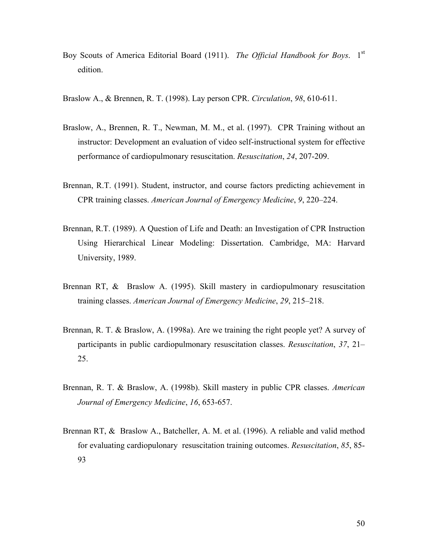- Boy Scouts of America Editorial Board (1911). *The Official Handbook for Boys*. 1st edition.
- Braslow A., & Brennen, R. T. (1998). Lay person CPR. *Circulation*, *98*, 610-611.
- Braslow, A., Brennen, R. T., Newman, M. M., et al. (1997). CPR Training without an instructor: Development an evaluation of video self-instructional system for effective performance of cardiopulmonary resuscitation. *Resuscitation*, *24*, 207-209.
- Brennan, R.T. (1991). Student, instructor, and course factors predicting achievement in CPR training classes. *American Journal of Emergency Medicine*, *9*, 220–224.
- Brennan, R.T. (1989). A Question of Life and Death: an Investigation of CPR Instruction Using Hierarchical Linear Modeling: Dissertation. Cambridge, MA: Harvard University, 1989.
- Brennan RT, & Braslow A. (1995). Skill mastery in cardiopulmonary resuscitation training classes. *American Journal of Emergency Medicine*, *29*, 215–218.
- Brennan, R. T. & Braslow, A. (1998a). Are we training the right people yet? A survey of participants in public cardiopulmonary resuscitation classes. *Resuscitation*, *37*, 21– 25.
- Brennan, R. T. & Braslow, A. (1998b). Skill mastery in public CPR classes. *American Journal of Emergency Medicine*, *16*, 653-657.
- Brennan RT, & Braslow A., Batcheller, A. M. et al. (1996). A reliable and valid method for evaluating cardiopulonary resuscitation training outcomes. *Resuscitation*, *85*, 85- 93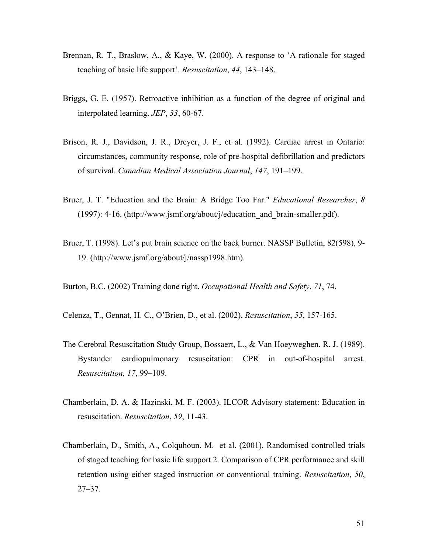- Brennan, R. T., Braslow, A., & Kaye, W. (2000). A response to 'A rationale for staged teaching of basic life support'. *Resuscitation*, *44*, 143–148.
- Briggs, G. E. (1957). Retroactive inhibition as a function of the degree of original and interpolated learning. *JEP*, *33*, 60-67.
- Brison, R. J., Davidson, J. R., Dreyer, J. F., et al. (1992). Cardiac arrest in Ontario: circumstances, community response, role of pre-hospital defibrillation and predictors of survival. *Canadian Medical Association Journal*, *147*, 191–199.
- Bruer, J. T. "Education and the Brain: A Bridge Too Far." *Educational Researcher*, *8*  (1997): 4-16. (http://www.jsmf.org/about/j/education\_and\_brain-smaller.pdf).
- Bruer, T. (1998). Let's put brain science on the back burner. NASSP Bulletin, 82(598), 9- 19. (http://www.jsmf.org/about/j/nassp1998.htm).
- Burton, B.C. (2002) Training done right. *Occupational Health and Safety*, *71*, 74.
- Celenza, T., Gennat, H. C., O'Brien, D., et al. (2002). *Resuscitation*, *55*, 157-165.
- The Cerebral Resuscitation Study Group, Bossaert, L., & Van Hoeyweghen. R. J. (1989). Bystander cardiopulmonary resuscitation: CPR in out-of-hospital arrest. *Resuscitation, 17*, 99–109.
- Chamberlain, D. A. & Hazinski, M. F. (2003). ILCOR Advisory statement: Education in resuscitation. *Resuscitation*, *59*, 11-43.
- Chamberlain, D., Smith, A., Colquhoun. M. et al. (2001). Randomised controlled trials of staged teaching for basic life support 2. Comparison of CPR performance and skill retention using either staged instruction or conventional training. *Resuscitation*, *50*, 27–37.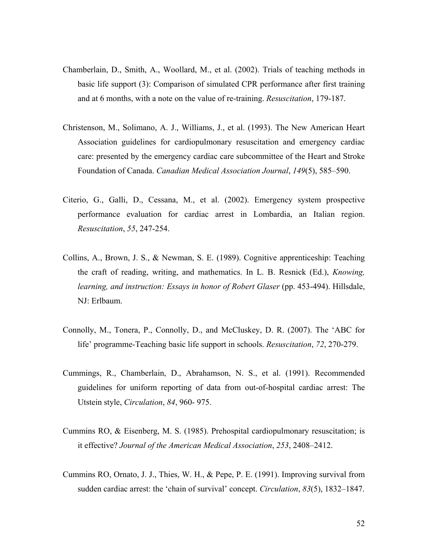- Chamberlain, D., Smith, A., Woollard, M., et al. (2002). Trials of teaching methods in basic life support (3): Comparison of simulated CPR performance after first training and at 6 months, with a note on the value of re-training. *Resuscitation*, 179-187.
- Christenson, M., Solimano, A. J., Williams, J., et al. (1993). The New American Heart Association guidelines for cardiopulmonary resuscitation and emergency cardiac care: presented by the emergency cardiac care subcommittee of the Heart and Stroke Foundation of Canada. *Canadian Medical Association Journal*, *149*(5), 585–590.
- Citerio, G., Galli, D., Cessana, M., et al. (2002). Emergency system prospective performance evaluation for cardiac arrest in Lombardia, an Italian region. *Resuscitation*, *55*, 247-254.
- Collins, A., Brown, J. S., & Newman, S. E. (1989). Cognitive apprenticeship: Teaching the craft of reading, writing, and mathematics. In L. B. Resnick (Ed.), *Knowing, learning, and instruction: Essays in honor of Robert Glaser (pp. 453-494). Hillsdale,* NJ: Erlbaum.
- Connolly, M., Tonera, P., Connolly, D., and McCluskey, D. R. (2007). The 'ABC for life' programme-Teaching basic life support in schools. *Resuscitation*, *72*, 270-279.
- Cummings, R., Chamberlain, D., Abrahamson, N. S., et al. (1991). Recommended guidelines for uniform reporting of data from out-of-hospital cardiac arrest: The Utstein style, *Circulation*, *84*, 960- 975.
- Cummins RO, & Eisenberg, M. S. (1985). Prehospital cardiopulmonary resuscitation; is it effective? *Journal of the American Medical Association*, *253*, 2408–2412.
- Cummins RO, Ornato, J. J., Thies, W. H., & Pepe, P. E. (1991). Improving survival from sudden cardiac arrest: the 'chain of survival' concept. *Circulation*, *83*(5), 1832–1847.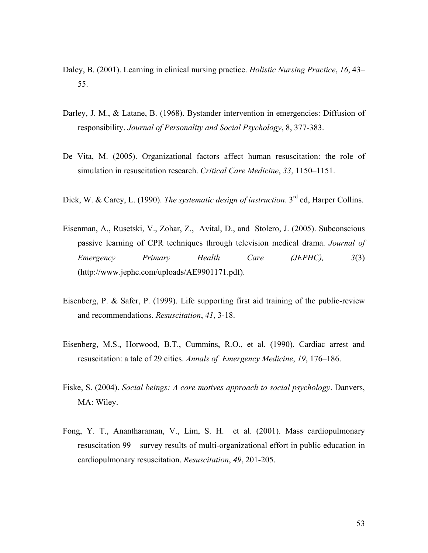- Daley, B. (2001). Learning in clinical nursing practice. *Holistic Nursing Practice*, *16*, 43– 55.
- Darley, J. M., & Latane, B. (1968). Bystander intervention in emergencies: Diffusion of responsibility. *Journal of Personality and Social Psychology*, 8, 377-383.
- De Vita, M. (2005). Organizational factors affect human resuscitation: the role of simulation in resuscitation research. *Critical Care Medicine*, *33*, 1150–1151.
- Dick, W. & Carey, L. (1990). *The systematic design of instruction*. 3<sup>rd</sup> ed, Harper Collins.
- Eisenman, A., Rusetski, V., Zohar, Z., Avital, D., and Stolero, J. (2005). Subconscious passive learning of CPR techniques through television medical drama. *Journal of Emergency Primary Health Care (JEPHC), 3*(3) (http://www.jephc.com/uploads/AE9901171.pdf).
- Eisenberg, P. & Safer, P. (1999). Life supporting first aid training of the public-review and recommendations. *Resuscitation*, *41*, 3-18.
- Eisenberg, M.S., Horwood, B.T., Cummins, R.O., et al. (1990). Cardiac arrest and resuscitation: a tale of 29 cities. *Annals of Emergency Medicine*, *19*, 176–186.
- Fiske, S. (2004). *Social beings: A core motives approach to social psychology*. Danvers, MA: Wiley.
- Fong, Y. T., Anantharaman, V., Lim, S. H. et al. (2001). Mass cardiopulmonary resuscitation 99 – survey results of multi-organizational effort in public education in cardiopulmonary resuscitation. *Resuscitation*, *49*, 201-205.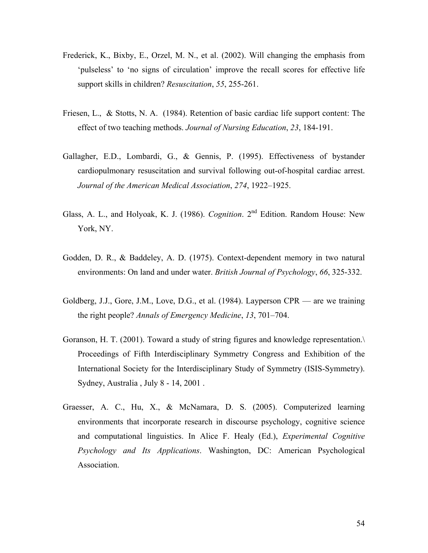- Frederick, K., Bixby, E., Orzel, M. N., et al. (2002). Will changing the emphasis from 'pulseless' to 'no signs of circulation' improve the recall scores for effective life support skills in children? *Resuscitation*, *55*, 255-261.
- Friesen, L., & Stotts, N. A. (1984). Retention of basic cardiac life support content: The effect of two teaching methods. *Journal of Nursing Education*, *23*, 184-191.
- Gallagher, E.D., Lombardi, G., & Gennis, P. (1995). Effectiveness of bystander cardiopulmonary resuscitation and survival following out-of-hospital cardiac arrest. *Journal of the American Medical Association*, *274*, 1922–1925.
- Glass, A. L., and Holyoak, K. J. (1986). *Cognition*. 2nd Edition. Random House: New York, NY.
- Godden, D. R., & Baddeley, A. D. (1975). Context-dependent memory in two natural environments: On land and under water. *British Journal of Psychology*, *66*, 325-332.
- Goldberg, J.J., Gore, J.M., Love, D.G., et al. (1984). Layperson CPR are we training the right people? *Annals of Emergency Medicine*, *13*, 701–704.
- Goranson, H. T. (2001). Toward a study of string figures and knowledge representation.\ Proceedings of Fifth Interdisciplinary Symmetry Congress and Exhibition of the International Society for the Interdisciplinary Study of Symmetry (ISIS-Symmetry). Sydney, Australia , July 8 - 14, 2001 .
- Graesser, A. C., Hu, X., & McNamara, D. S. (2005). Computerized learning environments that incorporate research in discourse psychology, cognitive science and computational linguistics. In Alice F. Healy (Ed.), *Experimental Cognitive Psychology and Its Applications*. Washington, DC: American Psychological Association.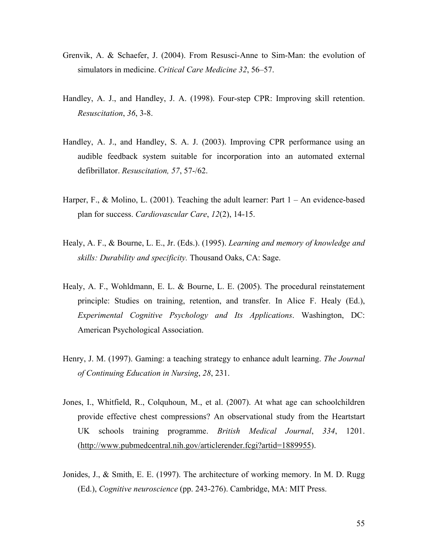- Grenvik, A. & Schaefer, J. (2004). From Resusci-Anne to Sim-Man: the evolution of simulators in medicine. *Critical Care Medicine 32*, 56–57.
- Handley, A. J., and Handley, J. A. (1998). Four-step CPR: Improving skill retention. *Resuscitation*, *36*, 3-8.
- Handley, A. J., and Handley, S. A. J. (2003). Improving CPR performance using an audible feedback system suitable for incorporation into an automated external defibrillator. *Resuscitation, 57*, 57-/62.
- Harper, F., & Molino, L. (2001). Teaching the adult learner: Part  $1 An$  evidence-based plan for success. *Cardiovascular Care*, *12*(2), 14-15.
- Healy, A. F., & Bourne, L. E., Jr. (Eds.). (1995). *Learning and memory of knowledge and skills: Durability and specificity.* Thousand Oaks, CA: Sage.
- Healy, A. F., Wohldmann, E. L. & Bourne, L. E. (2005). The procedural reinstatement principle: Studies on training, retention, and transfer. In Alice F. Healy (Ed.), *Experimental Cognitive Psychology and Its Applications*. Washington, DC: American Psychological Association.
- Henry, J. M. (1997). Gaming: a teaching strategy to enhance adult learning. *The Journal of Continuing Education in Nursing*, *28*, 231.
- Jones, I., Whitfield, R., Colquhoun, M., et al. (2007). At what age can schoolchildren provide effective chest compressions? An observational study from the Heartstart UK schools training programme. *British Medical Journal*, *334*, 1201. (http://www.pubmedcentral.nih.gov/articlerender.fcgi?artid=1889955).
- Jonides, J., & Smith, E. E. (1997). The architecture of working memory. In M. D. Rugg (Ed.), *Cognitive neuroscience* (pp. 243-276). Cambridge, MA: MIT Press.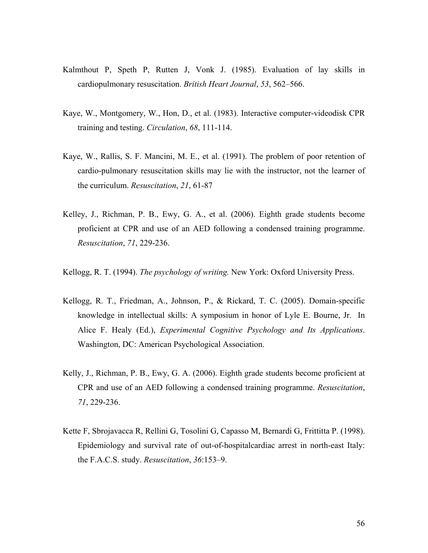- Kalmthout P, Speth P, Rutten J, Vonk J. (1985). Evaluation of lay skills in cardiopulmonary resuscitation. *British Heart Journal*, *53*, 562–566.
- Kaye, W., Montgomery, W., Hon, D., et al. (1983). Interactive computer-videodisk CPR training and testing. *Circulation*, *68*, 111-114.
- Kaye, W., Rallis, S. F. Mancini, M. E., et al. (1991). The problem of poor retention of cardio-pulmonary resuscitation skills may lie with the instructor, not the learner of the curriculum. *Resuscitation*, *21*, 61-87
- Kelley, J., Richman, P. B., Ewy, G. A., et al. (2006). Eighth grade students become proficient at CPR and use of an AED following a condensed training programme. *Resuscitation*, *71*, 229-236.
- Kellogg, R. T. (1994). *The psychology of writing.* New York: Oxford University Press.
- Kellogg, R. T., Friedman, A., Johnson, P., & Rickard, T. C. (2005). Domain-specific knowledge in intellectual skills: A symposium in honor of Lyle E. Bourne, Jr. In Alice F. Healy (Ed.), *Experimental Cognitive Psychology and Its Applications*. Washington, DC: American Psychological Association.
- Kelly, J., Richman, P. B., Ewy, G. A. (2006). Eighth grade students become proficient at CPR and use of an AED following a condensed training programme. *Resuscitation*, *71*, 229-236.
- Kette F, Sbrojavacca R, Rellini G, Tosolini G, Capasso M, Bernardi G, Frittitta P. (1998). Epidemiology and survival rate of out-of-hospitalcardiac arrest in north-east Italy: the F.A.C.S. study. *Resuscitation*, *36*:153–9.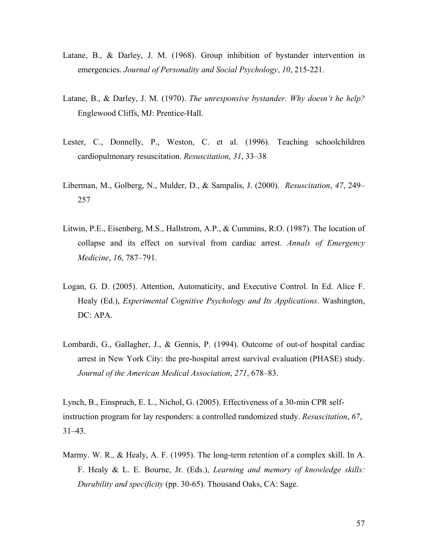- Latane, B., & Darley, J. M. (1968). Group inhibition of bystander intervention in emergencies. *Journal of Personality and Social Psychology*, *10*, 215-221.
- Latane, B., & Darley, J. M. (1970). *The unresponsive bystander. Why doesn't he help?* Englewood Cliffs, MJ: Prentice-Hall.
- Lester, C., Donnelly, P., Weston, C. et al. (1996). Teaching schoolchildren cardiopulmonary resuscitation. *Resuscitation*, *31*, 33–38
- Liberman, M., Golberg, N., Mulder, D., & Sampalis, J. (2000). *Resuscitation*, *47*, 249– 257
- Litwin, P.E., Eisenberg, M.S., Hallstrom, A.P., & Cummins, R.O. (1987). The location of collapse and its effect on survival from cardiac arrest. *Annals of Emergency Medicine*, *16*, 787–791.
- Logan, G. D. (2005). Attention, Automaticity, and Executive Control. In Ed. Alice F. Healy (Ed.), *Experimental Cognitive Psychology and Its Applications*. Washington, DC: APA.
- Lombardi, G., Gallagher, J., & Gennis, P. (1994). Outcome of out-of hospital cardiac arrest in New York City: the pre-hospital arrest survival evaluation (PHASE) study. *Journal of the American Medical Association*, *271*, 678–83.

Lynch, B., Einspruch, E. L., Nichol, G. (2005). Effectiveness of a 30-min CPR selfinstruction program for lay responders: a controlled randomized study. *Resuscitation*, *67*, 31–43.

Marmy. W. R., & Healy, A. F. (1995). The long-term retention of a complex skill. In A. F. Healy & L. E. Bourne, Jr. (Eds.), *Learning and memory of knowledge skills: Durability and specificity* (pp. 30-65). Thousand Oaks, CA: Sage.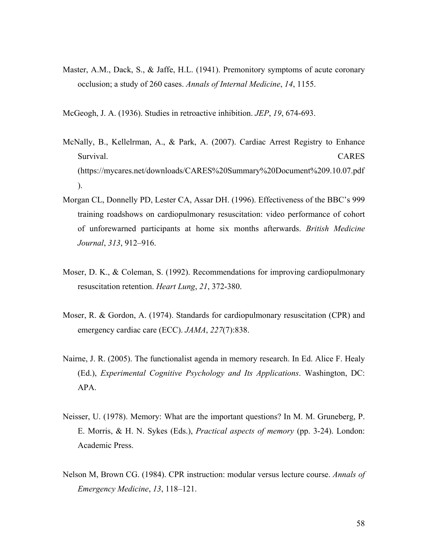- Master, A.M., Dack, S., & Jaffe, H.L. (1941). Premonitory symptoms of acute coronary occlusion; a study of 260 cases. *Annals of Internal Medicine*, *14*, 1155.
- McGeogh, J. A. (1936). Studies in retroactive inhibition. *JEP*, *19*, 674-693.
- McNally, B., Kellelrman, A., & Park, A. (2007). Cardiac Arrest Registry to Enhance Survival. CARES (https://mycares.net/downloads/CARES%20Summary%20Document%209.10.07.pdf ).
- Morgan CL, Donnelly PD, Lester CA, Assar DH. (1996). Effectiveness of the BBC's 999 training roadshows on cardiopulmonary resuscitation: video performance of cohort of unforewarned participants at home six months afterwards. *British Medicine Journal*, *313*, 912–916.
- Moser, D. K., & Coleman, S. (1992). Recommendations for improving cardiopulmonary resuscitation retention. *Heart Lung*, *21*, 372-380.
- Moser, R. & Gordon, A. (1974). Standards for cardiopulmonary resuscitation (CPR) and emergency cardiac care (ECC). *JAMA*, *227*(7):838.
- Nairne, J. R. (2005). The functionalist agenda in memory research. In Ed. Alice F. Healy (Ed.), *Experimental Cognitive Psychology and Its Applications*. Washington, DC: APA.
- Neisser, U. (1978). Memory: What are the important questions? In M. M. Gruneberg, P. E. Morris, & H. N. Sykes (Eds.), *Practical aspects of memory* (pp. 3-24). London: Academic Press.
- Nelson M, Brown CG. (1984). CPR instruction: modular versus lecture course. *Annals of Emergency Medicine*, *13*, 118–121.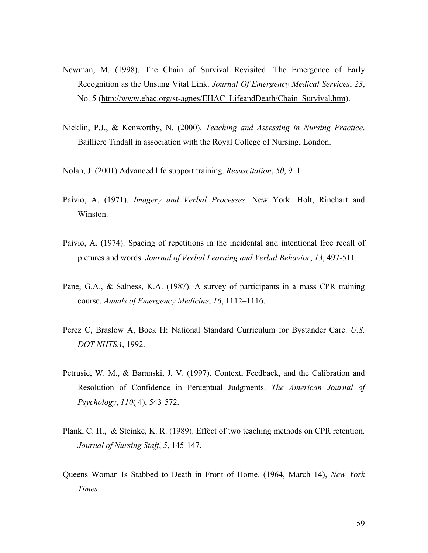- Newman, M. (1998). The Chain of Survival Revisited: The Emergence of Early Recognition as the Unsung Vital Link. *Journal Of Emergency Medical Services*, *23*, No. 5 (http://www.ehac.org/st-agnes/EHAC\_LifeandDeath/Chain\_Survival.htm).
- Nicklin, P.J., & Kenworthy, N. (2000). *Teaching and Assessing in Nursing Practice*. Bailliere Tindall in association with the Royal College of Nursing, London.
- Nolan, J. (2001) Advanced life support training. *Resuscitation*, *50*, 9–11.
- Paivio, A. (1971). *Imagery and Verbal Processes*. New York: Holt, Rinehart and Winston.
- Paivio, A. (1974). Spacing of repetitions in the incidental and intentional free recall of pictures and words. *Journal of Verbal Learning and Verbal Behavior*, *13*, 497-511.
- Pane, G.A., & Salness, K.A. (1987). A survey of participants in a mass CPR training course. *Annals of Emergency Medicine*, *16*, 1112–1116.
- Perez C, Braslow A, Bock H: National Standard Curriculum for Bystander Care. *U.S. DOT NHTSA*, 1992.
- Petrusic, W. M., & Baranski, J. V. (1997). Context, Feedback, and the Calibration and Resolution of Confidence in Perceptual Judgments. *The American Journal of Psychology*, *110*( 4), 543-572.
- Plank, C. H., & Steinke, K. R. (1989). Effect of two teaching methods on CPR retention. *Journal of Nursing Staff*, *5*, 145-147.
- Queens Woman Is Stabbed to Death in Front of Home. (1964, March 14), *New York Times*.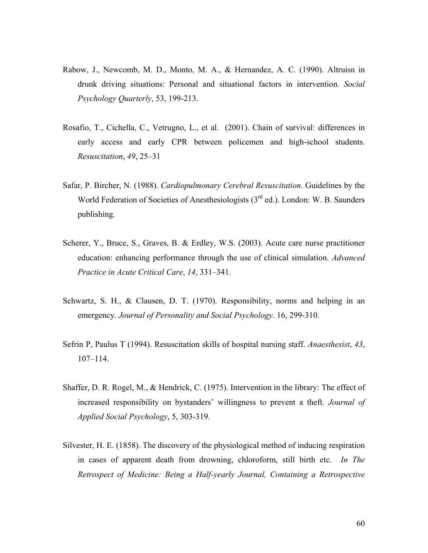- Rabow, J., Newcomb, M. D., Monto, M. A., & Hernandez, A. C. (1990). Altruisn in drunk driving situations: Personal and situational factors in intervention. *Social Psychology Quarterly*, 53, 199-213.
- Rosafio, T., Cichella, C., Vetrugno, L., et al. (2001). Chain of survival: differences in early access and early CPR between policemen and high-school students. *Resuscitation*, *49*, 25–31
- Safar, P. Bircher, N. (1988). *Cardiopulmonary Cerebral Resuscitation*. Guidelines by the World Federation of Societies of Anesthesiologists (3<sup>rd</sup> ed.). London: W. B. Saunders publishing.
- Scherer, Y., Bruce, S., Graves, B. & Erdley, W.S. (2003). Acute care nurse practitioner education: enhancing performance through the use of clinical simulation. *Advanced Practice in Acute Critical Care*, *14*, 331–341.
- Schwartz, S. H., & Clausen, D. T. (1970). Responsibility, norms and helping in an emergency. *Journal of Personality and Social Psychology*. 16, 299-310.
- Sefrin P, Paulus T (1994). Resuscitation skills of hospital nursing staff. *Anaesthesist*, *43*, 107–114.
- Shaffer, D. R. Rogel, M., & Hendrick, C. (1975). Intervention in the library: The effect of increased responsibility on bystanders' willingness to prevent a theft. *Journal of Applied Social Psychology*, 5, 303-319.
- Silvester, H. E. (1858). The discovery of the physiological method of inducing respiration in cases of apparent death from drowning, chloroform, still birth etc. *In The Retrospect of Medicine: Being a Half-yearly Journal, Containing a Retrospective*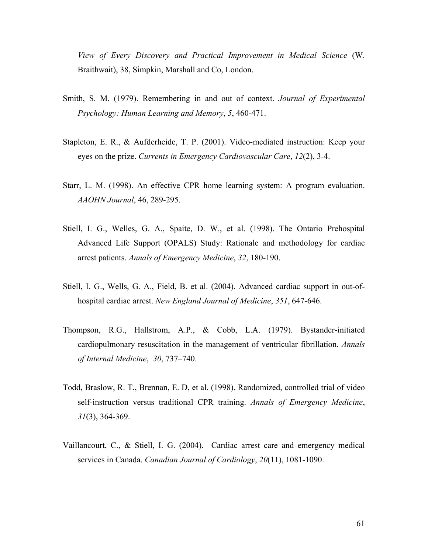*View of Every Discovery and Practical Improvement in Medical Science* (W. Braithwait), 38, Simpkin, Marshall and Co, London.

- Smith, S. M. (1979). Remembering in and out of context. *Journal of Experimental Psychology: Human Learning and Memory*, *5*, 460-471.
- Stapleton, E. R., & Aufderheide, T. P. (2001). Video-mediated instruction: Keep your eyes on the prize. *Currents in Emergency Cardiovascular Care*, *12*(2), 3-4.
- Starr, L. M. (1998). An effective CPR home learning system: A program evaluation. *AAOHN Journal*, 46, 289-295.
- Stiell, I. G., Welles, G. A., Spaite, D. W., et al. (1998). The Ontario Prehospital Advanced Life Support (OPALS) Study: Rationale and methodology for cardiac arrest patients. *Annals of Emergency Medicine*, *32*, 180-190.
- Stiell, I. G., Wells, G. A., Field, B. et al. (2004). Advanced cardiac support in out-ofhospital cardiac arrest. *New England Journal of Medicine*, *351*, 647-646.
- Thompson, R.G., Hallstrom, A.P., & Cobb, L.A. (1979). Bystander-initiated cardiopulmonary resuscitation in the management of ventricular fibrillation. *Annals of Internal Medicine*, *30*, 737–740.
- Todd, Braslow, R. T., Brennan, E. D, et al. (1998). Randomized, controlled trial of video self-instruction versus traditional CPR training. *Annals of Emergency Medicine*, *31*(3), 364-369.
- Vaillancourt, C., & Stiell, I. G. (2004). Cardiac arrest care and emergency medical services in Canada. *Canadian Journal of Cardiology*, *20*(11), 1081-1090.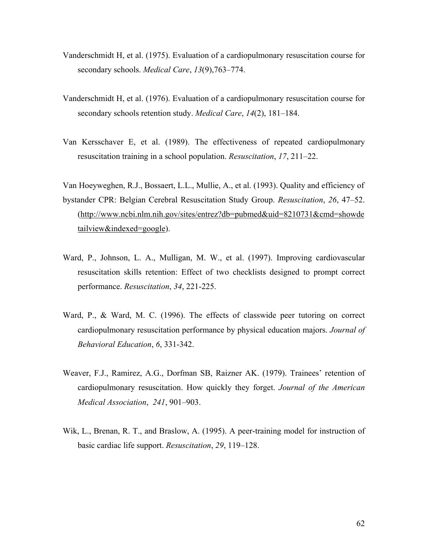- Vanderschmidt H, et al. (1975). Evaluation of a cardiopulmonary resuscitation course for secondary schools. *Medical Care*, *13*(9),763–774.
- Vanderschmidt H, et al. (1976). Evaluation of a cardiopulmonary resuscitation course for secondary schools retention study. *Medical Care*, *14*(2), 181–184.
- Van Kersschaver E, et al. (1989). The effectiveness of repeated cardiopulmonary resuscitation training in a school population. *Resuscitation*, *17*, 211–22.

Van Hoeyweghen, R.J., Bossaert, L.L., Mullie, A., et al. (1993). Quality and efficiency of bystander CPR: Belgian Cerebral Resuscitation Study Group. *Resuscitation*, *26*, 47–52. (http://www.ncbi.nlm.nih.gov/sites/entrez?db=pubmed&uid=8210731&cmd=showde tailview&indexed=google).

- Ward, P., Johnson, L. A., Mulligan, M. W., et al. (1997). Improving cardiovascular resuscitation skills retention: Effect of two checklists designed to prompt correct performance. *Resuscitation*, *34*, 221-225.
- Ward, P., & Ward, M. C. (1996). The effects of classwide peer tutoring on correct cardiopulmonary resuscitation performance by physical education majors. *Journal of Behavioral Education*, *6*, 331-342.
- Weaver, F.J., Ramirez, A.G., Dorfman SB, Raizner AK. (1979). Trainees' retention of cardiopulmonary resuscitation. How quickly they forget. *Journal of the American Medical Association*, *241*, 901–903.
- Wik, L., Brenan, R. T., and Braslow, A. (1995). A peer-training model for instruction of basic cardiac life support. *Resuscitation*, *29*, 119–128.